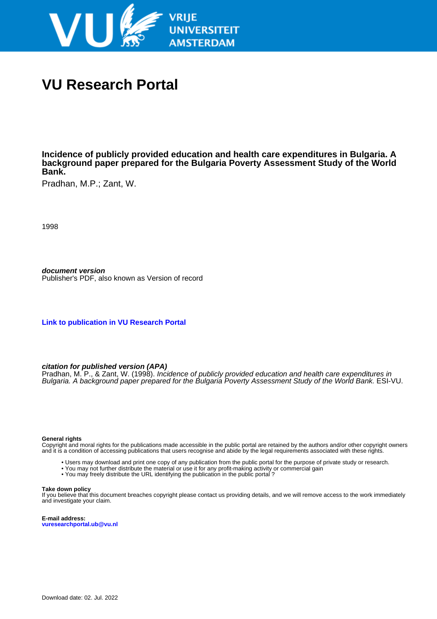

# **VU Research Portal**

**Incidence of publicly provided education and health care expenditures in Bulgaria. A background paper prepared for the Bulgaria Poverty Assessment Study of the World Bank.**

Pradhan, M.P.; Zant, W.

1998

**document version** Publisher's PDF, also known as Version of record

**[Link to publication in VU Research Portal](https://research.vu.nl/en/publications/cc25f4d4-149b-47c4-a6a2-36c71f1e0968)**

#### **citation for published version (APA)**

Pradhan, M. P., & Zant, W. (1998). Incidence of publicly provided education and health care expenditures in Bulgaria. A background paper prepared for the Bulgaria Poverty Assessment Study of the World Bank. ESI-VU.

#### **General rights**

Copyright and moral rights for the publications made accessible in the public portal are retained by the authors and/or other copyright owners and it is a condition of accessing publications that users recognise and abide by the legal requirements associated with these rights.

- Users may download and print one copy of any publication from the public portal for the purpose of private study or research.
- You may not further distribute the material or use it for any profit-making activity or commercial gain
- You may freely distribute the URL identifying the publication in the public portal ?

#### **Take down policy**

If you believe that this document breaches copyright please contact us providing details, and we will remove access to the work immediately and investigate your claim.

**E-mail address: vuresearchportal.ub@vu.nl**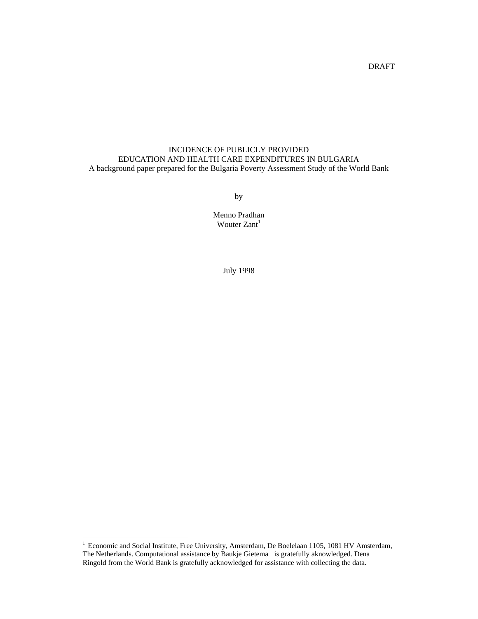# DRAFT

# INCIDENCE OF PUBLICLY PROVIDED EDUCATION AND HEALTH CARE EXPENDITURES IN BULGARIA A background paper prepared for the Bulgaria Poverty Assessment Study of the World Bank

by

Menno Pradhan Wouter Zant<sup>1</sup>

July 1998

l

<sup>&</sup>lt;sup>1</sup> Economic and Social Institute, Free University, Amsterdam, De Boelelaan 1105, 1081 HV Amsterdam, The Netherlands. Computational assistance by Baukje Gietema is gratefully aknowledged. Dena Ringold from the World Bank is gratefully acknowledged for assistance with collecting the data.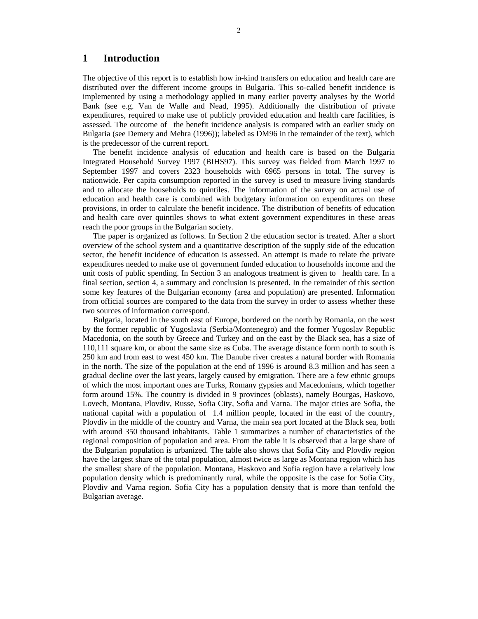# **1 Introduction**

The objective of this report is to establish how in-kind transfers on education and health care are distributed over the different income groups in Bulgaria. This so-called benefit incidence is implemented by using a methodology applied in many earlier poverty analyses by the World Bank (see e.g. Van de Walle and Nead, 1995). Additionally the distribution of private expenditures, required to make use of publicly provided education and health care facilities, is assessed. The outcome of the benefit incidence analysis is compared with an earlier study on Bulgaria (see Demery and Mehra (1996)); labeled as DM96 in the remainder of the text), which is the predecessor of the current report.

The benefit incidence analysis of education and health care is based on the Bulgaria Integrated Household Survey 1997 (BIHS97). This survey was fielded from March 1997 to September 1997 and covers 2323 households with 6965 persons in total. The survey is nationwide. Per capita consumption reported in the survey is used to measure living standards and to allocate the households to quintiles. The information of the survey on actual use of education and health care is combined with budgetary information on expenditures on these provisions, in order to calculate the benefit incidence. The distribution of benefits of education and health care over quintiles shows to what extent government expenditures in these areas reach the poor groups in the Bulgarian society.

The paper is organized as follows. In Section 2 the education sector is treated. After a short overview of the school system and a quantitative description of the supply side of the education sector, the benefit incidence of education is assessed. An attempt is made to relate the private expenditures needed to make use of government funded education to households income and the unit costs of public spending. In Section 3 an analogous treatment is given to health care. In a final section, section 4, a summary and conclusion is presented. In the remainder of this section some key features of the Bulgarian economy (area and population) are presented. Information from official sources are compared to the data from the survey in order to assess whether these two sources of information correspond.

Bulgaria, located in the south east of Europe, bordered on the north by Romania, on the west by the former republic of Yugoslavia (Serbia/Montenegro) and the former Yugoslav Republic Macedonia, on the south by Greece and Turkey and on the east by the Black sea, has a size of 110,111 square km, or about the same size as Cuba. The average distance form north to south is 250 km and from east to west 450 km. The Danube river creates a natural border with Romania in the north. The size of the population at the end of 1996 is around 8.3 million and has seen a gradual decline over the last years, largely caused by emigration. There are a few ethnic groups of which the most important ones are Turks, Romany gypsies and Macedonians, which together form around 15%. The country is divided in 9 provinces (oblasts), namely Bourgas, Haskovo, Lovech, Montana, Plovdiv, Russe, Sofia City, Sofia and Varna. The major cities are Sofia, the national capital with a population of 1.4 million people, located in the east of the country, Plovdiv in the middle of the country and Varna, the main sea port located at the Black sea, both with around 350 thousand inhabitants. Table 1 summarizes a number of characteristics of the regional composition of population and area. From the table it is observed that a large share of the Bulgarian population is urbanized. The table also shows that Sofia City and Plovdiv region have the largest share of the total population, almost twice as large as Montana region which has the smallest share of the population. Montana, Haskovo and Sofia region have a relatively low population density which is predominantly rural, while the opposite is the case for Sofia City, Plovdiv and Varna region. Sofia City has a population density that is more than tenfold the Bulgarian average.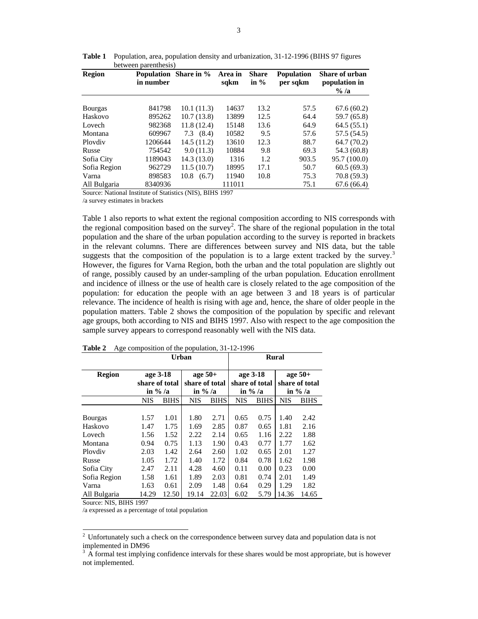| <b>Region</b>  | in number | <b>Population</b> Share in % | Area in<br>sqkm | <b>Share</b><br>in $%$ | <b>Population</b><br>per sqkm | <b>Share of urban</b><br>population in<br>$\%$ /a |
|----------------|-----------|------------------------------|-----------------|------------------------|-------------------------------|---------------------------------------------------|
|                |           |                              |                 |                        |                               |                                                   |
| <b>Bourgas</b> | 841798    | 10.1(11.3)                   | 14637           | 13.2                   | 57.5                          | 67.6(60.2)                                        |
| Haskovo        | 895262    | 10.7(13.8)                   | 13899           | 12.5                   | 64.4                          | 59.7 (65.8)                                       |
| Lovech         | 982368    | 11.8(12.4)                   | 15148           | 13.6                   | 64.9                          | 64.5(55.1)                                        |
| Montana        | 609967    | $7.3$ $(8.4)$                | 10582           | 9.5                    | 57.6                          | 57.5 (54.5)                                       |
| Ploydiy        | 1206644   | 14.5(11.2)                   | 13610           | 12.3                   | 88.7                          | 64.7(70.2)                                        |
| Russe          | 754542    | 9.0(11.3)                    | 10884           | 9.8                    | 69.3                          | 54.3 (60.8)                                       |
| Sofia City     | 1189043   | 14.3(13.0)                   | 1316            | 1.2                    | 903.5                         | 95.7 (100.0)                                      |
| Sofia Region   | 962729    | 11.5(10.7)                   | 18995           | 17.1                   | 50.7                          | 60.5(69.3)                                        |
| Varna          | 898583    | 10.8<br>(6.7)                | 11940           | 10.8                   | 75.3                          | 70.8 (59.3)                                       |
| All Bulgaria   | 8340936   |                              | 111011          |                        | 75.1                          | 67.6(66.4)                                        |

**Table 1** Population, area, population density and urbanization, 31-12-1996 (BIHS 97 figures between parenthesis)

Source: National Institute of Statistics (NIS), BIHS 1997

/a survey estimates in brackets

Table 1 also reports to what extent the regional composition according to NIS corresponds with the regional composition based on the survey<sup>2</sup>. The share of the regional population in the total population and the share of the urban population according to the survey is reported in brackets in the relevant columns. There are differences between survey and NIS data, but the table suggests that the composition of the population is to a large extent tracked by the survey.<sup>3</sup> However, the figures for Varna Region, both the urban and the total population are slightly out of range, possibly caused by an under-sampling of the urban population. Education enrollment and incidence of illness or the use of health care is closely related to the age composition of the population: for education the people with an age between 3 and 18 years is of particular relevance. The incidence of health is rising with age and, hence, the share of older people in the population matters. Table 2 shows the composition of the population by specific and relevant age groups, both according to NIS and BIHS 1997. Also with respect to the age composition the sample survey appears to correspond reasonably well with the NIS data.

|                | Urban                                    |             |                                           |             |                                          |             | Rural                                     |             |
|----------------|------------------------------------------|-------------|-------------------------------------------|-------------|------------------------------------------|-------------|-------------------------------------------|-------------|
| <b>Region</b>  | age 3-18<br>share of total<br>in $\%$ /a |             | age $50+$<br>share of total<br>in $\%$ /a |             | age 3-18<br>share of total<br>in $\%$ /a |             | age $50+$<br>share of total<br>in $\%$ /a |             |
|                | <b>NIS</b>                               | <b>BIHS</b> | <b>NIS</b>                                | <b>BIHS</b> | <b>NIS</b>                               | <b>BIHS</b> | <b>NIS</b>                                | <b>BIHS</b> |
|                |                                          |             |                                           |             |                                          |             |                                           |             |
| <b>Bourgas</b> | 1.57                                     | 1.01        | 1.80                                      | 2.71        | 0.65                                     | 0.75        | 1.40                                      | 2.42        |
| Haskovo        | 1.47                                     | 1.75        | 1.69                                      | 2.85        | 0.87                                     | 0.65        | 1.81                                      | 2.16        |
| Lovech         | 1.56                                     | 1.52        | 2.22                                      | 2.14        | 0.65                                     | 1.16        | 2.22                                      | 1.88        |
| Montana        | 0.94                                     | 0.75        | 1.13                                      | 1.90        | 0.43                                     | 0.77        | 1.77                                      | 1.62        |
| Ploydiy        | 2.03                                     | 1.42        | 2.64                                      | 2.60        | 1.02                                     | 0.65        | 2.01                                      | 1.27        |
| Russe          | 1.05                                     | 1.72        | 1.40                                      | 1.72        | 0.84                                     | 0.78        | 1.62                                      | 1.98        |
| Sofia City     | 2.47                                     | 2.11        | 4.28                                      | 4.60        | 0.11                                     | 0.00        | 0.23                                      | 0.00        |
| Sofia Region   | 1.58                                     | 1.61        | 1.89                                      | 2.03        | 0.81                                     | 0.74        | 2.01                                      | 1.49        |
| Varna          | 1.63                                     | 0.61        | 2.09                                      | 1.48        | 0.64                                     | 0.29        | 1.29                                      | 1.82        |
| All Bulgaria   | 14.29                                    | 12.50       | 19.14                                     | 22.03       | 6.02                                     | 5.79        | 14.36                                     | 14.65       |

**Table 2** Age composition of the population, 31-12-1996

Source: NIS, BIHS 1997

/a expressed as a percentage of total population

<sup>&</sup>lt;sup>2</sup> Unfortunately such a check on the correspondence between survey data and population data is not implemented in DM96

 $3 \text{ Å}$  formal test implying confidence intervals for these shares would be most appropriate, but is however not implemented.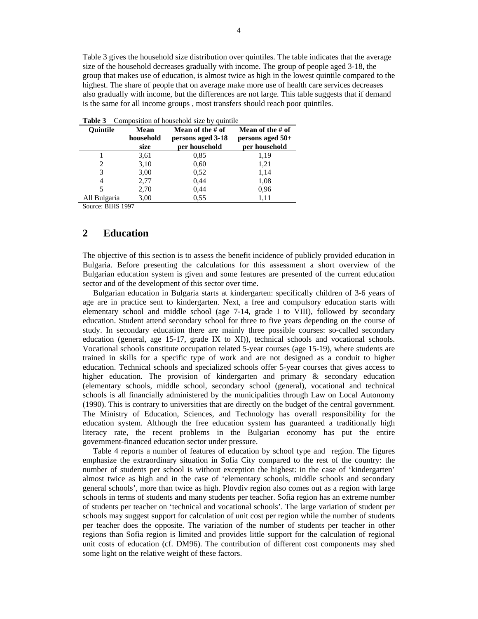Table 3 gives the household size distribution over quintiles. The table indicates that the average size of the household decreases gradually with income. The group of people aged 3-18, the group that makes use of education, is almost twice as high in the lowest quintile compared to the highest. The share of people that on average make more use of health care services decreases also gradually with income, but the differences are not large. This table suggests that if demand is the same for all income groups , most transfers should reach poor quintiles.

|                 |             | $\sim$ 0.111 p 0.01 to 11 to 110 th 0.110 1 to 111 p 0.111 p 0.111 p 1.11 p 1.1 |                     |
|-----------------|-------------|---------------------------------------------------------------------------------|---------------------|
| <b>Ouintile</b> | <b>Mean</b> | Mean of the # of                                                                | Mean of the $\#$ of |
|                 | household   | persons aged 3-18                                                               | persons aged $50+$  |
|                 | size        | per household                                                                   | per household       |
|                 | 3,61        | 0.85                                                                            | 1,19                |
| 2               | 3,10        | 0.60                                                                            | 1,21                |
| 3               | 3,00        | 0.52                                                                            | 1,14                |
| 4               | 2,77        | 0,44                                                                            | 1,08                |
|                 | 2,70        | 0,44                                                                            | 0.96                |
| All Bulgaria    | 3,00        | 0.55                                                                            | 1,11                |
|                 |             |                                                                                 |                     |

|  |  |  | <b>Table 3</b> Composition of household size by quintile |
|--|--|--|----------------------------------------------------------|
|--|--|--|----------------------------------------------------------|

Source: BIHS 1997

# **2 Education**

The objective of this section is to assess the benefit incidence of publicly provided education in Bulgaria. Before presenting the calculations for this assessment a short overview of the Bulgarian education system is given and some features are presented of the current education sector and of the development of this sector over time.

Bulgarian education in Bulgaria starts at kindergarten: specifically children of 3-6 years of age are in practice sent to kindergarten. Next, a free and compulsory education starts with elementary school and middle school (age 7-14, grade I to VIII), followed by secondary education. Student attend secondary school for three to five years depending on the course of study. In secondary education there are mainly three possible courses: so-called secondary education (general, age 15-17, grade IX to XI)), technical schools and vocational schools. Vocational schools constitute occupation related 5-year courses (age 15-19), where students are trained in skills for a specific type of work and are not designed as a conduit to higher education. Technical schools and specialized schools offer 5-year courses that gives access to higher education. The provision of kindergarten and primary & secondary education (elementary schools, middle school, secondary school (general), vocational and technical schools is all financially administered by the municipalities through Law on Local Autonomy (1990). This is contrary to universities that are directly on the budget of the central government. The Ministry of Education, Sciences, and Technology has overall responsibility for the education system. Although the free education system has guaranteed a traditionally high literacy rate, the recent problems in the Bulgarian economy has put the entire government-financed education sector under pressure.

 Table 4 reports a number of features of education by school type and region. The figures emphasize the extraordinary situation in Sofia City compared to the rest of the country: the number of students per school is without exception the highest: in the case of 'kindergarten' almost twice as high and in the case of 'elementary schools, middle schools and secondary general schools', more than twice as high. Plovdiv region also comes out as a region with large schools in terms of students and many students per teacher. Sofia region has an extreme number of students per teacher on 'technical and vocational schools'. The large variation of student per schools may suggest support for calculation of unit cost per region while the number of students per teacher does the opposite. The variation of the number of students per teacher in other regions than Sofia region is limited and provides little support for the calculation of regional unit costs of education (cf. DM96). The contribution of different cost components may shed some light on the relative weight of these factors.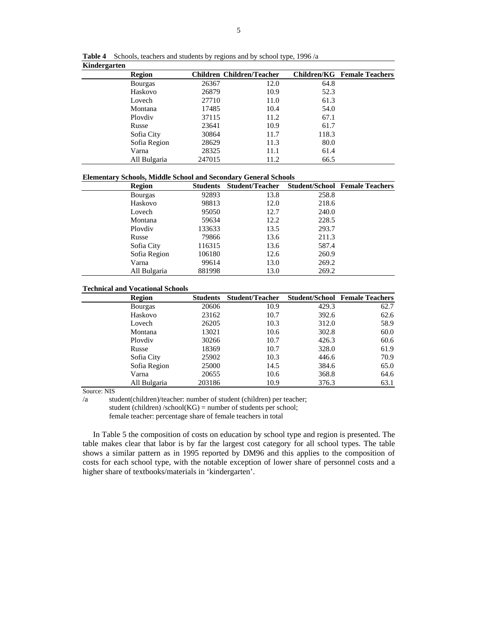| Region         | Children Children/Teacher |      |       | <b>Children/KG</b> Female Teachers |
|----------------|---------------------------|------|-------|------------------------------------|
| <b>Bourgas</b> | 26367                     | 12.0 | 64.8  |                                    |
| Haskovo        | 26879                     | 10.9 | 52.3  |                                    |
| Lovech         | 27710                     | 11.0 | 61.3  |                                    |
| Montana        | 17485                     | 10.4 | 54.0  |                                    |
| Ploydiy        | 37115                     | 11.2 | 67.1  |                                    |
| Russe          | 23641                     | 10.9 | 61.7  |                                    |
| Sofia City     | 30864                     | 11.7 | 118.3 |                                    |
| Sofia Region   | 28629                     | 11.3 | 80.0  |                                    |
| Varna          | 28325                     | 11.1 | 61.4  |                                    |
| All Bulgaria   | 247015                    | 11.2 | 66.5  |                                    |

**Table 4** Schools, teachers and students by regions and by school type, 1996 /a **Kindergarten** 

#### **Elementary Schools, Middle School and Secondary General Schools**

| <b>Region</b>  | Students | <b>Student/Teacher Student/School Female Teachers</b> |       |  |
|----------------|----------|-------------------------------------------------------|-------|--|
| <b>Bourgas</b> | 92893    | 13.8                                                  | 258.8 |  |
| Haskovo        | 98813    | 12.0                                                  | 218.6 |  |
| Lovech         | 95050    | 12.7                                                  | 240.0 |  |
| Montana        | 59634    | 12.2                                                  | 228.5 |  |
| Ploydiy        | 133633   | 13.5                                                  | 293.7 |  |
| Russe          | 79866    | 13.6                                                  | 211.3 |  |
| Sofia City     | 116315   | 13.6                                                  | 587.4 |  |
| Sofia Region   | 106180   | 12.6                                                  | 260.9 |  |
| Varna          | 99614    | 13.0                                                  | 269.2 |  |
| All Bulgaria   | 881998   | 13.0                                                  | 269.2 |  |

### **Technical and Vocational Schools**

| Region         | <b>Students</b> | <b>Student/Teacher</b> |       | <b>Student/School Female Teachers</b> |
|----------------|-----------------|------------------------|-------|---------------------------------------|
| <b>Bourgas</b> | 20606           | 10.9                   | 429.3 | 62.7                                  |
| Haskovo        | 23162           | 10.7                   | 392.6 | 62.6                                  |
| Lovech         | 26205           | 10.3                   | 312.0 | 58.9                                  |
| Montana        | 13021           | 10.6                   | 302.8 | 60.0                                  |
| Ploydiy        | 30266           | 10.7                   | 426.3 | 60.6                                  |
| Russe          | 18369           | 10.7                   | 328.0 | 61.9                                  |
| Sofia City     | 25902           | 10.3                   | 446.6 | 70.9                                  |
| Sofia Region   | 25000           | 14.5                   | 384.6 | 65.0                                  |
| Varna          | 20655           | 10.6                   | 368.8 | 64.6                                  |
| All Bulgaria   | 203186          | 10.9                   | 376.3 | 63.1                                  |

Source: NIS

/a student(children)/teacher: number of student (children) per teacher; student (children) /school( $KG$ ) = number of students per school;

female teacher: percentage share of female teachers in total

In Table 5 the composition of costs on education by school type and region is presented. The table makes clear that labor is by far the largest cost category for all school types. The table shows a similar pattern as in 1995 reported by DM96 and this applies to the composition of costs for each school type, with the notable exception of lower share of personnel costs and a higher share of textbooks/materials in 'kindergarten'.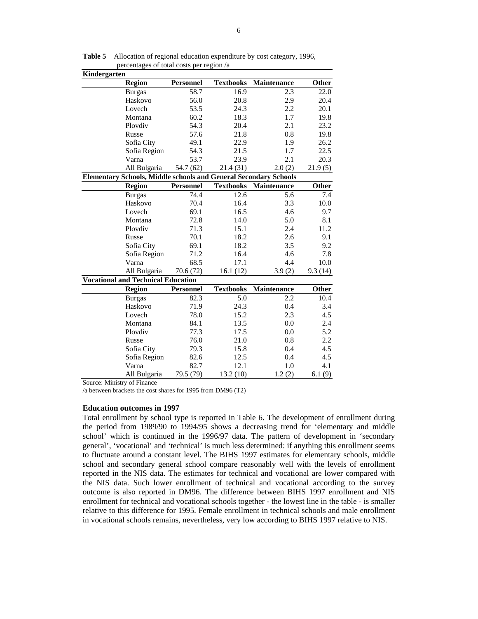| Kindergarten                                                            |              |                  |                  |             |              |
|-------------------------------------------------------------------------|--------------|------------------|------------------|-------------|--------------|
| <b>Region</b>                                                           |              | <b>Personnel</b> | <b>Textbooks</b> | Maintenance | Other        |
| <b>Burgas</b>                                                           |              | 58.7             | 16.9             | 2.3         | 22.0         |
| Haskovo                                                                 |              | 56.0             | 20.8             | 2.9         | 20.4         |
| Lovech                                                                  |              | 53.5             | 24.3             | 2.2         | 20.1         |
| Montana                                                                 |              | 60.2             | 18.3             | 1.7         | 19.8         |
| Plovdiv                                                                 |              | 54.3             | 20.4             | 2.1         | 23.2         |
| Russe                                                                   |              | 57.6             | 21.8             | 0.8         | 19.8         |
| Sofia City                                                              |              | 49.1             | 22.9             | 1.9         | 26.2         |
|                                                                         | Sofia Region | 54.3             | 21.5             | 1.7         | 22.5         |
| Varna                                                                   |              | 53.7             | 23.9             | 2.1         | 20.3         |
|                                                                         | All Bulgaria | 54.7 (62)        | 21.4 (31)        | 2.0(2)      | 21.9(5)      |
| <b>Elementary Schools, Middle schools and General Secondary Schools</b> |              |                  |                  |             |              |
| <b>Region</b>                                                           |              | <b>Personnel</b> | <b>Textbooks</b> | Maintenance | <b>Other</b> |
| <b>Burgas</b>                                                           |              | 74.4             | 12.6             | 5.6         | 7.4          |
| Haskovo                                                                 |              | 70.4             | 16.4             | 3.3         | 10.0         |
| Lovech                                                                  |              | 69.1             | 16.5             | 4.6         | 9.7          |
| Montana                                                                 |              | 72.8             | 14.0             | 5.0         | 8.1          |
| Plovdiv                                                                 |              | 71.3             | 15.1             | 2.4         | 11.2         |
| Russe                                                                   |              | 70.1             | 18.2             | 2.6         | 9.1          |
|                                                                         | Sofia City   | 69.1             | 18.2             | 3.5         | 9.2          |
|                                                                         | Sofia Region | 71.2             | 16.4             | 4.6         | 7.8          |
| Varna                                                                   |              | 68.5             | 17.1             | 4.4         | 10.0         |
|                                                                         | All Bulgaria | 70.6 (72)        | 16.1(12)         | 3.9(2)      | 9.3(14)      |
| <b>Vocational and Technical Education</b>                               |              |                  |                  |             |              |
| <b>Region</b>                                                           |              | <b>Personnel</b> | <b>Textbooks</b> | Maintenance | Other        |
| <b>Burgas</b>                                                           |              | 82.3             | 5.0              | 2.2         | 10.4         |
| Haskovo                                                                 |              | 71.9             | 24.3             | 0.4         | 3.4          |
| Lovech                                                                  |              | 78.0             | 15.2             | 2.3         | 4.5          |
| Montana                                                                 |              | 84.1             | 13.5             | 0.0         | 2.4          |
| Plovdiv                                                                 |              | 77.3             | 17.5             | 0.0         | 5.2          |
| Russe                                                                   |              | 76.0             | 21.0             | 0.8         | 2.2          |
|                                                                         | Sofia City   | 79.3             | 15.8             | 0.4         | 4.5          |
|                                                                         | Sofia Region | 82.6             | 12.5             | 0.4         | 4.5          |
| Varna                                                                   |              | 82.7             | 12.1             | 1.0         | 4.1          |
|                                                                         | All Bulgaria | 79.5 (79)        | 13.2(10)         | 1.2(2)      | 6.1(9)       |

**Table 5** Allocation of regional education expenditure by cost category, 1996, percentages of total costs per region /a

Source: Ministry of Finance

/a between brackets the cost shares for 1995 from DM96 (T2)

#### **Education outcomes in 1997**

Total enrollment by school type is reported in Table 6. The development of enrollment during the period from 1989/90 to 1994/95 shows a decreasing trend for 'elementary and middle school' which is continued in the 1996/97 data. The pattern of development in 'secondary general', 'vocational' and 'technical' is much less determined: if anything this enrollment seems to fluctuate around a constant level. The BIHS 1997 estimates for elementary schools, middle school and secondary general school compare reasonably well with the levels of enrollment reported in the NIS data. The estimates for technical and vocational are lower compared with the NIS data. Such lower enrollment of technical and vocational according to the survey outcome is also reported in DM96. The difference between BIHS 1997 enrollment and NIS enrollment for technical and vocational schools together - the lowest line in the table - is smaller relative to this difference for 1995. Female enrollment in technical schools and male enrollment in vocational schools remains, nevertheless, very low according to BIHS 1997 relative to NIS.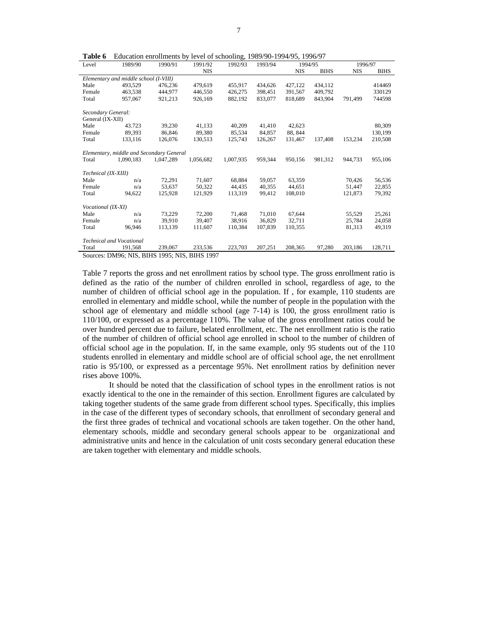**Table 6** Education enrollments by level of schooling, 1989/90-1994/95, 1996/97

| Level               | 1989/90                                     | 1990/91   | 1991/92    | 1992/93   | 1993/94 | 1994/95    |             | 1996/97    |             |
|---------------------|---------------------------------------------|-----------|------------|-----------|---------|------------|-------------|------------|-------------|
|                     |                                             |           | <b>NIS</b> |           |         | <b>NIS</b> | <b>BIHS</b> | <b>NIS</b> | <b>BIHS</b> |
|                     | Elementary and middle school (I-VIII)       |           |            |           |         |            |             |            |             |
| Male                | 493.529                                     | 476,236   | 479,619    | 455,917   | 434.626 | 427,122    | 434,112     |            | 414469      |
| Female              | 463.538                                     | 444,977   | 446,550    | 426,275   | 398.451 | 391.567    | 409.792     |            | 330129      |
| Total               | 957,067                                     | 921,213   | 926,169    | 882,192   | 833,077 | 818,689    | 843,904     | 791,499    | 744598      |
| Secondary General:  |                                             |           |            |           |         |            |             |            |             |
| General (IX-XII)    |                                             |           |            |           |         |            |             |            |             |
| Male                | 43.723                                      | 39,230    | 41,133     | 40,209    | 41,410  | 42,623     |             |            | 80,309      |
| Female              | 89,393                                      | 86,846    | 89,380     | 85,534    | 84,857  | 88, 844    |             |            | 130,199     |
| Total               | 133,116                                     | 126,076   | 130,513    | 125,743   | 126,267 | 131,467    | 137,408     | 153,234    | 210,508     |
|                     |                                             |           |            |           |         |            |             |            |             |
|                     | Elementary, middle and Secondary General    |           |            |           |         |            |             |            |             |
| Total               | 1,090,183                                   | 1,047,289 | 1.056.682  | 1,007,935 | 959,344 | 950,156    | 981,312     | 944,733    | 955,106     |
|                     |                                             |           |            |           |         |            |             |            |             |
| Technical (IX-XIII) |                                             |           |            |           |         |            |             |            |             |
| Male                | n/a                                         | 72,291    | 71,607     | 68.884    | 59,057  | 63,359     |             | 70.426     | 56,536      |
| Female              | n/a                                         | 53,637    | 50.322     | 44.435    | 40.355  | 44.651     |             | 51,447     | 22,855      |
| Total               | 94,622                                      | 125,928   | 121,929    | 113,319   | 99.412  | 108,010    |             | 121,873    | 79,392      |
| Vocational (IX-XI)  |                                             |           |            |           |         |            |             |            |             |
| Male                | n/a                                         | 73,229    | 72,200     | 71,468    | 71.010  | 67,644     |             | 55,529     | 25,261      |
| Female              | n/a                                         | 39.910    | 39.407     | 38.916    | 36.829  | 32.711     |             | 25.784     | 24.058      |
| Total               | 96,946                                      | 113,139   | 111,607    | 110,384   | 107,839 | 110,355    |             | 81,313     | 49,319      |
|                     |                                             |           |            |           |         |            |             |            |             |
|                     | <b>Technical and Vocational</b>             |           |            |           |         |            |             |            |             |
| Total               | 191,568                                     | 239,067   | 233,536    | 223,703   | 207,251 | 208,365    | 97,280      | 203,186    | 128,711     |
|                     | Sources: DM96: NIS RIHS 1995: NIS RIHS 1997 |           |            |           |         |            |             |            |             |

Sources: DM96; NIS, BIHS 1995; NIS, BIHS 1997

Table 7 reports the gross and net enrollment ratios by school type. The gross enrollment ratio is defined as the ratio of the number of children enrolled in school, regardless of age, to the number of children of official school age in the population. If , for example, 110 students are enrolled in elementary and middle school, while the number of people in the population with the school age of elementary and middle school (age 7-14) is 100, the gross enrollment ratio is 110/100, or expressed as a percentage 110%. The value of the gross enrollment ratios could be over hundred percent due to failure, belated enrollment, etc. The net enrollment ratio is the ratio of the number of children of official school age enrolled in school to the number of children of official school age in the population. If, in the same example, only 95 students out of the 110 students enrolled in elementary and middle school are of official school age, the net enrollment ratio is 95/100, or expressed as a percentage 95%. Net enrollment ratios by definition never rises above 100%.

It should be noted that the classification of school types in the enrollment ratios is not exactly identical to the one in the remainder of this section. Enrollment figures are calculated by taking together students of the same grade from different school types. Specifically, this implies in the case of the different types of secondary schools, that enrollment of secondary general and the first three grades of technical and vocational schools are taken together. On the other hand, elementary schools, middle and secondary general schools appear to be organizational and administrative units and hence in the calculation of unit costs secondary general education these are taken together with elementary and middle schools.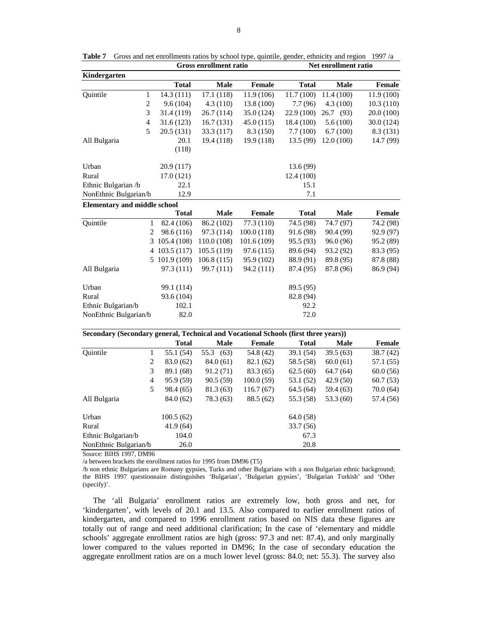| <b>Total</b><br><b>Male</b><br>Female<br><b>Total</b><br><b>Male</b><br>Female<br>11.4(100)<br>Quintile<br>$\mathbf{1}$<br>14.3 (111)<br>17.1 (118)<br>11.9 (106)<br>11.7 (100)<br>$\overline{c}$<br>9.6(104)<br>4.3(110)<br>13.8 (100)<br>7.7(96)<br>4.3(100)<br>10.3(110)<br>3<br>31.4 (119)<br>26.7(114)<br>35.0 (124)<br>22.9 (100)<br>26.7 (93)<br>20.0 (100)<br>$\overline{4}$<br>31.6(123)<br>16.7(131)<br>45.0(115)<br>18.4 (100)<br>5.6(100)<br>30.0 (124)<br>5<br>6.7(100)<br>20.5(131)<br>33.3 (117)<br>8.3(150)<br>7.7(100)<br>8.3(131)<br>20.1<br>19.4 (118)<br>19.9 (118)<br>13.5 (99)<br>12.0(100)<br>All Bulgaria<br>(118)<br>Urban<br>20.9 (117)<br>13.6 (99)<br>Rural<br>17.0(121)<br>12.4 (100)<br>Ethnic Bulgarian /b<br>22.1<br>15.1<br>12.9<br>NonEthnic Bulgarian/b<br>7.1<br><b>Elementary and middle school</b><br><b>Male</b><br><b>Total</b><br>Female<br><b>Total</b><br><b>Male</b><br>Female<br>77.3 (110)<br>74.5 (98)<br>74.7 (97)<br>Quintile<br>$\mathbf{1}$<br>82.4 (106)<br>86.2 (102)<br>74.2 (98)<br>2<br>98.6 (116)<br>97.3 (114)<br>100.0(118)<br>91.6 (98)<br>90.4 (99)<br>92.9 (97)<br>3<br>105.4 (108)<br>110.0 (108)<br>101.6 (109)<br>95.5 (93)<br>96.0 (96)<br>95.2 (89)<br>4 103.5 (117)<br>105.5(119)<br>97.6 (115)<br>89.6 (94)<br>93.2 (92)<br>5 101.9 (109)<br>106.8(115)<br>95.9 (102)<br>88.9 (91)<br>89.8 (95)<br>87.8 (88)<br>97.3 (111)<br>All Bulgaria<br>99.7 (111)<br>94.2 (111)<br>87.4 (95)<br>87.8 (96)<br>86.9 (94)<br>Urban<br>99.1 (114)<br>89.5 (95)<br>Rural<br>93.6 (104)<br>82.8 (94)<br>Ethnic Bulgarian/b<br>102.1<br>92.2<br>NonEthnic Bulgarian/b<br>82.0<br>72.0<br>Secondary (Secondary general, Technical and Vocational Schools (first three years))<br><b>Total</b><br><b>Male</b><br>Female<br><b>Total</b><br><b>Male</b><br>Female<br>Quintile<br>55.1 (54)<br>55.3<br>39.1 (54)<br>$\mathbf{1}$<br>(63)<br>54.8 (42)<br>39.5(63)<br>38.7(42)<br>$\mathbf{2}$<br>83.0 (62)<br>84.0 (61)<br>58.5 (58)<br>60.0(61)<br>57.1 (55)<br>82.1 (62)<br>$\mathfrak{Z}$<br>89.1 (68)<br>91.2(71)<br>83.3 (65)<br>62.5(60)<br>64.7 (64)<br>60.0(56)<br>$\overline{4}$<br>95.9 (59)<br>90.5 (59)<br>100.0(59)<br>53.1 (52)<br>42.9 (50)<br>5<br>98.4 (65)<br>81.3(63)<br>116.7(67)<br>59.4 (63)<br>64.5 (64)<br>53.3 (60)<br>84.0 (62)<br>78.3 (63)<br>88.5 (62)<br>55.3 (58)<br>57.4 (56)<br>100.5(62)<br>64.0(58)<br>41.9(64)<br>33.7 (56)<br>Ethnic Bulgarian/b<br>104.0<br>67.3<br>NonEthnic Bulgarian/b<br>20.8<br>26.0 | Kindergarten |  |  |  |           |
|--------------------------------------------------------------------------------------------------------------------------------------------------------------------------------------------------------------------------------------------------------------------------------------------------------------------------------------------------------------------------------------------------------------------------------------------------------------------------------------------------------------------------------------------------------------------------------------------------------------------------------------------------------------------------------------------------------------------------------------------------------------------------------------------------------------------------------------------------------------------------------------------------------------------------------------------------------------------------------------------------------------------------------------------------------------------------------------------------------------------------------------------------------------------------------------------------------------------------------------------------------------------------------------------------------------------------------------------------------------------------------------------------------------------------------------------------------------------------------------------------------------------------------------------------------------------------------------------------------------------------------------------------------------------------------------------------------------------------------------------------------------------------------------------------------------------------------------------------------------------------------------------------------------------------------------------------------------------------------------------------------------------------------------------------------------------------------------------------------------------------------------------------------------------------------------------------------------------------------------------------------------------------------------------------------------------------------------------------------------------------------------------------------------------------------------------------------------------------------------------------|--------------|--|--|--|-----------|
|                                                                                                                                                                                                                                                                                                                                                                                                                                                                                                                                                                                                                                                                                                                                                                                                                                                                                                                                                                                                                                                                                                                                                                                                                                                                                                                                                                                                                                                                                                                                                                                                                                                                                                                                                                                                                                                                                                                                                                                                                                                                                                                                                                                                                                                                                                                                                                                                                                                                                                  |              |  |  |  |           |
|                                                                                                                                                                                                                                                                                                                                                                                                                                                                                                                                                                                                                                                                                                                                                                                                                                                                                                                                                                                                                                                                                                                                                                                                                                                                                                                                                                                                                                                                                                                                                                                                                                                                                                                                                                                                                                                                                                                                                                                                                                                                                                                                                                                                                                                                                                                                                                                                                                                                                                  |              |  |  |  | 11.9(100) |
|                                                                                                                                                                                                                                                                                                                                                                                                                                                                                                                                                                                                                                                                                                                                                                                                                                                                                                                                                                                                                                                                                                                                                                                                                                                                                                                                                                                                                                                                                                                                                                                                                                                                                                                                                                                                                                                                                                                                                                                                                                                                                                                                                                                                                                                                                                                                                                                                                                                                                                  |              |  |  |  |           |
|                                                                                                                                                                                                                                                                                                                                                                                                                                                                                                                                                                                                                                                                                                                                                                                                                                                                                                                                                                                                                                                                                                                                                                                                                                                                                                                                                                                                                                                                                                                                                                                                                                                                                                                                                                                                                                                                                                                                                                                                                                                                                                                                                                                                                                                                                                                                                                                                                                                                                                  |              |  |  |  |           |
|                                                                                                                                                                                                                                                                                                                                                                                                                                                                                                                                                                                                                                                                                                                                                                                                                                                                                                                                                                                                                                                                                                                                                                                                                                                                                                                                                                                                                                                                                                                                                                                                                                                                                                                                                                                                                                                                                                                                                                                                                                                                                                                                                                                                                                                                                                                                                                                                                                                                                                  |              |  |  |  |           |
|                                                                                                                                                                                                                                                                                                                                                                                                                                                                                                                                                                                                                                                                                                                                                                                                                                                                                                                                                                                                                                                                                                                                                                                                                                                                                                                                                                                                                                                                                                                                                                                                                                                                                                                                                                                                                                                                                                                                                                                                                                                                                                                                                                                                                                                                                                                                                                                                                                                                                                  |              |  |  |  |           |
|                                                                                                                                                                                                                                                                                                                                                                                                                                                                                                                                                                                                                                                                                                                                                                                                                                                                                                                                                                                                                                                                                                                                                                                                                                                                                                                                                                                                                                                                                                                                                                                                                                                                                                                                                                                                                                                                                                                                                                                                                                                                                                                                                                                                                                                                                                                                                                                                                                                                                                  |              |  |  |  | 14.7 (99) |
|                                                                                                                                                                                                                                                                                                                                                                                                                                                                                                                                                                                                                                                                                                                                                                                                                                                                                                                                                                                                                                                                                                                                                                                                                                                                                                                                                                                                                                                                                                                                                                                                                                                                                                                                                                                                                                                                                                                                                                                                                                                                                                                                                                                                                                                                                                                                                                                                                                                                                                  |              |  |  |  |           |
|                                                                                                                                                                                                                                                                                                                                                                                                                                                                                                                                                                                                                                                                                                                                                                                                                                                                                                                                                                                                                                                                                                                                                                                                                                                                                                                                                                                                                                                                                                                                                                                                                                                                                                                                                                                                                                                                                                                                                                                                                                                                                                                                                                                                                                                                                                                                                                                                                                                                                                  |              |  |  |  |           |
|                                                                                                                                                                                                                                                                                                                                                                                                                                                                                                                                                                                                                                                                                                                                                                                                                                                                                                                                                                                                                                                                                                                                                                                                                                                                                                                                                                                                                                                                                                                                                                                                                                                                                                                                                                                                                                                                                                                                                                                                                                                                                                                                                                                                                                                                                                                                                                                                                                                                                                  |              |  |  |  |           |
|                                                                                                                                                                                                                                                                                                                                                                                                                                                                                                                                                                                                                                                                                                                                                                                                                                                                                                                                                                                                                                                                                                                                                                                                                                                                                                                                                                                                                                                                                                                                                                                                                                                                                                                                                                                                                                                                                                                                                                                                                                                                                                                                                                                                                                                                                                                                                                                                                                                                                                  |              |  |  |  |           |
|                                                                                                                                                                                                                                                                                                                                                                                                                                                                                                                                                                                                                                                                                                                                                                                                                                                                                                                                                                                                                                                                                                                                                                                                                                                                                                                                                                                                                                                                                                                                                                                                                                                                                                                                                                                                                                                                                                                                                                                                                                                                                                                                                                                                                                                                                                                                                                                                                                                                                                  |              |  |  |  |           |
|                                                                                                                                                                                                                                                                                                                                                                                                                                                                                                                                                                                                                                                                                                                                                                                                                                                                                                                                                                                                                                                                                                                                                                                                                                                                                                                                                                                                                                                                                                                                                                                                                                                                                                                                                                                                                                                                                                                                                                                                                                                                                                                                                                                                                                                                                                                                                                                                                                                                                                  |              |  |  |  |           |
|                                                                                                                                                                                                                                                                                                                                                                                                                                                                                                                                                                                                                                                                                                                                                                                                                                                                                                                                                                                                                                                                                                                                                                                                                                                                                                                                                                                                                                                                                                                                                                                                                                                                                                                                                                                                                                                                                                                                                                                                                                                                                                                                                                                                                                                                                                                                                                                                                                                                                                  |              |  |  |  |           |
|                                                                                                                                                                                                                                                                                                                                                                                                                                                                                                                                                                                                                                                                                                                                                                                                                                                                                                                                                                                                                                                                                                                                                                                                                                                                                                                                                                                                                                                                                                                                                                                                                                                                                                                                                                                                                                                                                                                                                                                                                                                                                                                                                                                                                                                                                                                                                                                                                                                                                                  |              |  |  |  |           |
|                                                                                                                                                                                                                                                                                                                                                                                                                                                                                                                                                                                                                                                                                                                                                                                                                                                                                                                                                                                                                                                                                                                                                                                                                                                                                                                                                                                                                                                                                                                                                                                                                                                                                                                                                                                                                                                                                                                                                                                                                                                                                                                                                                                                                                                                                                                                                                                                                                                                                                  |              |  |  |  |           |
|                                                                                                                                                                                                                                                                                                                                                                                                                                                                                                                                                                                                                                                                                                                                                                                                                                                                                                                                                                                                                                                                                                                                                                                                                                                                                                                                                                                                                                                                                                                                                                                                                                                                                                                                                                                                                                                                                                                                                                                                                                                                                                                                                                                                                                                                                                                                                                                                                                                                                                  |              |  |  |  |           |
|                                                                                                                                                                                                                                                                                                                                                                                                                                                                                                                                                                                                                                                                                                                                                                                                                                                                                                                                                                                                                                                                                                                                                                                                                                                                                                                                                                                                                                                                                                                                                                                                                                                                                                                                                                                                                                                                                                                                                                                                                                                                                                                                                                                                                                                                                                                                                                                                                                                                                                  |              |  |  |  | 83.3 (95) |
|                                                                                                                                                                                                                                                                                                                                                                                                                                                                                                                                                                                                                                                                                                                                                                                                                                                                                                                                                                                                                                                                                                                                                                                                                                                                                                                                                                                                                                                                                                                                                                                                                                                                                                                                                                                                                                                                                                                                                                                                                                                                                                                                                                                                                                                                                                                                                                                                                                                                                                  |              |  |  |  |           |
|                                                                                                                                                                                                                                                                                                                                                                                                                                                                                                                                                                                                                                                                                                                                                                                                                                                                                                                                                                                                                                                                                                                                                                                                                                                                                                                                                                                                                                                                                                                                                                                                                                                                                                                                                                                                                                                                                                                                                                                                                                                                                                                                                                                                                                                                                                                                                                                                                                                                                                  |              |  |  |  |           |
|                                                                                                                                                                                                                                                                                                                                                                                                                                                                                                                                                                                                                                                                                                                                                                                                                                                                                                                                                                                                                                                                                                                                                                                                                                                                                                                                                                                                                                                                                                                                                                                                                                                                                                                                                                                                                                                                                                                                                                                                                                                                                                                                                                                                                                                                                                                                                                                                                                                                                                  |              |  |  |  |           |
|                                                                                                                                                                                                                                                                                                                                                                                                                                                                                                                                                                                                                                                                                                                                                                                                                                                                                                                                                                                                                                                                                                                                                                                                                                                                                                                                                                                                                                                                                                                                                                                                                                                                                                                                                                                                                                                                                                                                                                                                                                                                                                                                                                                                                                                                                                                                                                                                                                                                                                  |              |  |  |  |           |
|                                                                                                                                                                                                                                                                                                                                                                                                                                                                                                                                                                                                                                                                                                                                                                                                                                                                                                                                                                                                                                                                                                                                                                                                                                                                                                                                                                                                                                                                                                                                                                                                                                                                                                                                                                                                                                                                                                                                                                                                                                                                                                                                                                                                                                                                                                                                                                                                                                                                                                  |              |  |  |  |           |
|                                                                                                                                                                                                                                                                                                                                                                                                                                                                                                                                                                                                                                                                                                                                                                                                                                                                                                                                                                                                                                                                                                                                                                                                                                                                                                                                                                                                                                                                                                                                                                                                                                                                                                                                                                                                                                                                                                                                                                                                                                                                                                                                                                                                                                                                                                                                                                                                                                                                                                  |              |  |  |  |           |
|                                                                                                                                                                                                                                                                                                                                                                                                                                                                                                                                                                                                                                                                                                                                                                                                                                                                                                                                                                                                                                                                                                                                                                                                                                                                                                                                                                                                                                                                                                                                                                                                                                                                                                                                                                                                                                                                                                                                                                                                                                                                                                                                                                                                                                                                                                                                                                                                                                                                                                  |              |  |  |  |           |
|                                                                                                                                                                                                                                                                                                                                                                                                                                                                                                                                                                                                                                                                                                                                                                                                                                                                                                                                                                                                                                                                                                                                                                                                                                                                                                                                                                                                                                                                                                                                                                                                                                                                                                                                                                                                                                                                                                                                                                                                                                                                                                                                                                                                                                                                                                                                                                                                                                                                                                  |              |  |  |  |           |
|                                                                                                                                                                                                                                                                                                                                                                                                                                                                                                                                                                                                                                                                                                                                                                                                                                                                                                                                                                                                                                                                                                                                                                                                                                                                                                                                                                                                                                                                                                                                                                                                                                                                                                                                                                                                                                                                                                                                                                                                                                                                                                                                                                                                                                                                                                                                                                                                                                                                                                  |              |  |  |  |           |
|                                                                                                                                                                                                                                                                                                                                                                                                                                                                                                                                                                                                                                                                                                                                                                                                                                                                                                                                                                                                                                                                                                                                                                                                                                                                                                                                                                                                                                                                                                                                                                                                                                                                                                                                                                                                                                                                                                                                                                                                                                                                                                                                                                                                                                                                                                                                                                                                                                                                                                  |              |  |  |  |           |
|                                                                                                                                                                                                                                                                                                                                                                                                                                                                                                                                                                                                                                                                                                                                                                                                                                                                                                                                                                                                                                                                                                                                                                                                                                                                                                                                                                                                                                                                                                                                                                                                                                                                                                                                                                                                                                                                                                                                                                                                                                                                                                                                                                                                                                                                                                                                                                                                                                                                                                  |              |  |  |  |           |
|                                                                                                                                                                                                                                                                                                                                                                                                                                                                                                                                                                                                                                                                                                                                                                                                                                                                                                                                                                                                                                                                                                                                                                                                                                                                                                                                                                                                                                                                                                                                                                                                                                                                                                                                                                                                                                                                                                                                                                                                                                                                                                                                                                                                                                                                                                                                                                                                                                                                                                  |              |  |  |  | 60.7(53)  |
|                                                                                                                                                                                                                                                                                                                                                                                                                                                                                                                                                                                                                                                                                                                                                                                                                                                                                                                                                                                                                                                                                                                                                                                                                                                                                                                                                                                                                                                                                                                                                                                                                                                                                                                                                                                                                                                                                                                                                                                                                                                                                                                                                                                                                                                                                                                                                                                                                                                                                                  |              |  |  |  | 70.0(64)  |
|                                                                                                                                                                                                                                                                                                                                                                                                                                                                                                                                                                                                                                                                                                                                                                                                                                                                                                                                                                                                                                                                                                                                                                                                                                                                                                                                                                                                                                                                                                                                                                                                                                                                                                                                                                                                                                                                                                                                                                                                                                                                                                                                                                                                                                                                                                                                                                                                                                                                                                  | All Bulgaria |  |  |  |           |
|                                                                                                                                                                                                                                                                                                                                                                                                                                                                                                                                                                                                                                                                                                                                                                                                                                                                                                                                                                                                                                                                                                                                                                                                                                                                                                                                                                                                                                                                                                                                                                                                                                                                                                                                                                                                                                                                                                                                                                                                                                                                                                                                                                                                                                                                                                                                                                                                                                                                                                  | Urban        |  |  |  |           |
|                                                                                                                                                                                                                                                                                                                                                                                                                                                                                                                                                                                                                                                                                                                                                                                                                                                                                                                                                                                                                                                                                                                                                                                                                                                                                                                                                                                                                                                                                                                                                                                                                                                                                                                                                                                                                                                                                                                                                                                                                                                                                                                                                                                                                                                                                                                                                                                                                                                                                                  | Rural        |  |  |  |           |
|                                                                                                                                                                                                                                                                                                                                                                                                                                                                                                                                                                                                                                                                                                                                                                                                                                                                                                                                                                                                                                                                                                                                                                                                                                                                                                                                                                                                                                                                                                                                                                                                                                                                                                                                                                                                                                                                                                                                                                                                                                                                                                                                                                                                                                                                                                                                                                                                                                                                                                  |              |  |  |  |           |
|                                                                                                                                                                                                                                                                                                                                                                                                                                                                                                                                                                                                                                                                                                                                                                                                                                                                                                                                                                                                                                                                                                                                                                                                                                                                                                                                                                                                                                                                                                                                                                                                                                                                                                                                                                                                                                                                                                                                                                                                                                                                                                                                                                                                                                                                                                                                                                                                                                                                                                  |              |  |  |  |           |

**Table 7** Gross and net enrollments ratios by school type, quintile, gender, ethnicity and region 1997 /a Gross enrollment ratio **Net enrollment ratio** 

Source: BIHS 1997, DM96

/a between brackets the enrollment ratios for 1995 from DM96 (T5)

/b non ethnic Bulgarians are Romany gypsies, Turks and other Bulgarians with a non Bulgarian ethnic background; the BIHS 1997 questionnaire distinguishes 'Bulgarian', 'Bulgarian gypsies', 'Bulgarian Turkish' and 'Other (specify)'.

The 'all Bulgaria' enrollment ratios are extremely low, both gross and net, for 'kindergarten', with levels of 20.1 and 13.5. Also compared to earlier enrollment ratios of kindergarten, and compared to 1996 enrollment ratios based on NIS data these figures are totally out of range and need additional clarification; In the case of 'elementary and middle schools' aggregate enrollment ratios are high (gross: 97.3 and net: 87.4), and only marginally lower compared to the values reported in DM96; In the case of secondary education the aggregate enrollment ratios are on a much lower level (gross: 84.0; net: 55.3). The survey also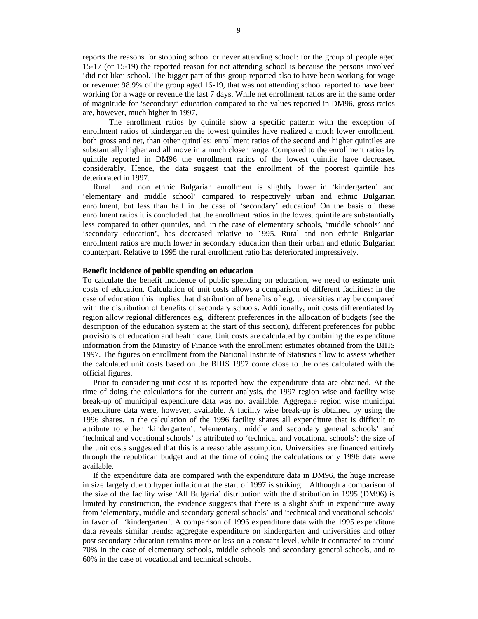reports the reasons for stopping school or never attending school: for the group of people aged 15-17 (or 15-19) the reported reason for not attending school is because the persons involved 'did not like' school. The bigger part of this group reported also to have been working for wage or revenue: 98.9% of the group aged 16-19, that was not attending school reported to have been working for a wage or revenue the last 7 days. While net enrollment ratios are in the same order of magnitude for 'secondary' education compared to the values reported in DM96, gross ratios are, however, much higher in 1997.

The enrollment ratios by quintile show a specific pattern: with the exception of enrollment ratios of kindergarten the lowest quintiles have realized a much lower enrollment, both gross and net, than other quintiles: enrollment ratios of the second and higher quintiles are substantially higher and all move in a much closer range. Compared to the enrollment ratios by quintile reported in DM96 the enrollment ratios of the lowest quintile have decreased considerably. Hence, the data suggest that the enrollment of the poorest quintile has deteriorated in 1997.

Rural and non ethnic Bulgarian enrollment is slightly lower in 'kindergarten' and 'elementary and middle school' compared to respectively urban and ethnic Bulgarian enrollment, but less than half in the case of 'secondary' education! On the basis of these enrollment ratios it is concluded that the enrollment ratios in the lowest quintile are substantially less compared to other quintiles, and, in the case of elementary schools, 'middle schools' and 'secondary education', has decreased relative to 1995. Rural and non ethnic Bulgarian enrollment ratios are much lower in secondary education than their urban and ethnic Bulgarian counterpart. Relative to 1995 the rural enrollment ratio has deteriorated impressively.

### **Benefit incidence of public spending on education**

To calculate the benefit incidence of public spending on education, we need to estimate unit costs of education. Calculation of unit costs allows a comparison of different facilities: in the case of education this implies that distribution of benefits of e.g. universities may be compared with the distribution of benefits of secondary schools. Additionally, unit costs differentiated by region allow regional differences e.g. different preferences in the allocation of budgets (see the description of the education system at the start of this section), different preferences for public provisions of education and health care. Unit costs are calculated by combining the expenditure information from the Ministry of Finance with the enrollment estimates obtained from the BIHS 1997. The figures on enrollment from the National Institute of Statistics allow to assess whether the calculated unit costs based on the BIHS 1997 come close to the ones calculated with the official figures.

 Prior to considering unit cost it is reported how the expenditure data are obtained. At the time of doing the calculations for the current analysis, the 1997 region wise and facility wise break-up of municipal expenditure data was not available. Aggregate region wise municipal expenditure data were, however, available. A facility wise break-up is obtained by using the 1996 shares. In the calculation of the 1996 facility shares all expenditure that is difficult to attribute to either 'kindergarten', 'elementary, middle and secondary general schools' and 'technical and vocational schools' is attributed to 'technical and vocational schools': the size of the unit costs suggested that this is a reasonable assumption. Universities are financed entirely through the republican budget and at the time of doing the calculations only 1996 data were available.

 If the expenditure data are compared with the expenditure data in DM96, the huge increase in size largely due to hyper inflation at the start of 1997 is striking. Although a comparison of the size of the facility wise 'All Bulgaria' distribution with the distribution in 1995 (DM96) is limited by construction, the evidence suggests that there is a slight shift in expenditure away from 'elementary, middle and secondary general schools' and 'technical and vocational schools' in favor of 'kindergarten'. A comparison of 1996 expenditure data with the 1995 expenditure data reveals similar trends: aggregate expenditure on kindergarten and universities and other post secondary education remains more or less on a constant level, while it contracted to around 70% in the case of elementary schools, middle schools and secondary general schools, and to 60% in the case of vocational and technical schools.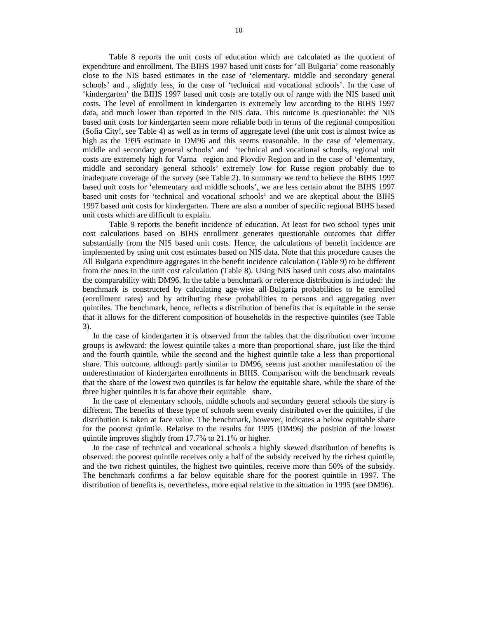Table 8 reports the unit costs of education which are calculated as the quotient of expenditure and enrollment. The BIHS 1997 based unit costs for 'all Bulgaria' come reasonably close to the NIS based estimates in the case of 'elementary, middle and secondary general schools' and , slightly less, in the case of 'technical and vocational schools'. In the case of 'kindergarten' the BIHS 1997 based unit costs are totally out of range with the NIS based unit costs. The level of enrollment in kindergarten is extremely low according to the BIHS 1997 data, and much lower than reported in the NIS data. This outcome is questionable: the NIS based unit costs for kindergarten seem more reliable both in terms of the regional composition (Sofia City!, see Table 4) as well as in terms of aggregate level (the unit cost is almost twice as high as the 1995 estimate in DM96 and this seems reasonable. In the case of 'elementary, middle and secondary general schools' and 'technical and vocational schools, regional unit costs are extremely high for Varna region and Plovdiv Region and in the case of 'elementary, middle and secondary general schools' extremely low for Russe region probably due to inadequate coverage of the survey (see Table 2). In summary we tend to believe the BIHS 1997 based unit costs for 'elementary and middle schools', we are less certain about the BIHS 1997 based unit costs for 'technical and vocational schools' and we are skeptical about the BIHS 1997 based unit costs for kindergarten. There are also a number of specific regional BIHS based unit costs which are difficult to explain.

Table 9 reports the benefit incidence of education. At least for two school types unit cost calculations based on BIHS enrollment generates questionable outcomes that differ substantially from the NIS based unit costs. Hence, the calculations of benefit incidence are implemented by using unit cost estimates based on NIS data. Note that this procedure causes the All Bulgaria expenditure aggregates in the benefit incidence calculation (Table 9) to be different from the ones in the unit cost calculation (Table 8). Using NIS based unit costs also maintains the comparability with DM96. In the table a benchmark or reference distribution is included: the benchmark is constructed by calculating age-wise all-Bulgaria probabilities to be enrolled (enrollment rates) and by attributing these probabilities to persons and aggregating over quintiles. The benchmark, hence, reflects a distribution of benefits that is equitable in the sense that it allows for the different composition of households in the respective quintiles (see Table 3).

In the case of kindergarten it is observed from the tables that the distribution over income groups is awkward: the lowest quintile takes a more than proportional share, just like the third and the fourth quintile, while the second and the highest quintile take a less than proportional share. This outcome, although partly similar to DM96, seems just another manifestation of the underestimation of kindergarten enrollments in BIHS. Comparison with the benchmark reveals that the share of the lowest two quintiles is far below the equitable share, while the share of the three higher quintiles it is far above their equitable share.

In the case of elementary schools, middle schools and secondary general schools the story is different. The benefits of these type of schools seem evenly distributed over the quintiles, if the distribution is taken at face value. The benchmark, however, indicates a below equitable share for the poorest quintile. Relative to the results for 1995 (DM96) the position of the lowest quintile improves slightly from 17.7% to 21.1% or higher.

In the case of technical and vocational schools a highly skewed distribution of benefits is observed: the poorest quintile receives only a half of the subsidy received by the richest quintile, and the two richest quintiles, the highest two quintiles, receive more than 50% of the subsidy. The benchmark confirms a far below equitable share for the poorest quintile in 1997. The distribution of benefits is, nevertheless, more equal relative to the situation in 1995 (see DM96).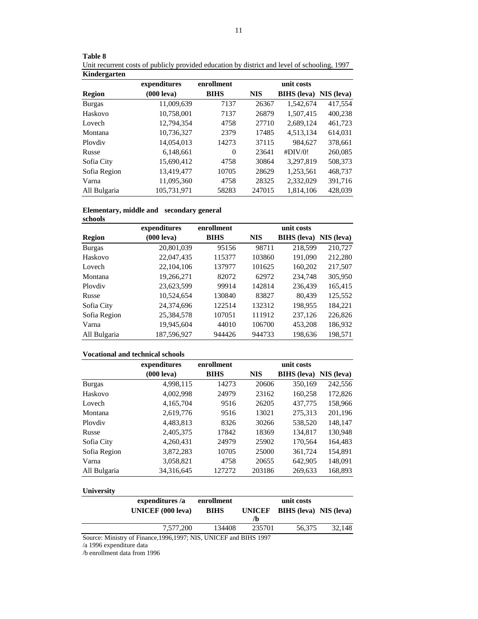| Kindergarten  |                      |             |            |                    |            |
|---------------|----------------------|-------------|------------|--------------------|------------|
|               | expenditures         | enrollment  |            | unit costs         |            |
| <b>Region</b> | $(000 \text{ leva})$ | <b>BIHS</b> | <b>NIS</b> | <b>BIHS</b> (leva) | NIS (leva) |
| <b>Burgas</b> | 11,009,639           | 7137        | 26367      | 1.542.674          | 417,554    |
| Haskovo       | 10,758,001           | 7137        | 26879      | 1,507,415          | 400,238    |
| Lovech        | 12,794,354           | 4758        | 27710      | 2,689,124          | 461,723    |
| Montana       | 10,736,327           | 2379        | 17485      | 4,513,134          | 614,031    |
| Ploydiy       | 14.054.013           | 14273       | 37115      | 984.627            | 378,661    |
| Russe         | 6,148,661            | $\Omega$    | 23641      | #DIV/0!            | 260,085    |
| Sofia City    | 15.690.412           | 4758        | 30864      | 3.297.819          | 508,373    |
| Sofia Region  | 13,419,477           | 10705       | 28629      | 1.253.561          | 468,737    |
| Varna         | 11.095.360           | 4758        | 28325      | 2,332,029          | 391,716    |
| All Bulgaria  | 105.731.971          | 58283       | 247015     | 1.814.106          | 428,039    |

| Table 8                                                                                      |
|----------------------------------------------------------------------------------------------|
| Unit recurrent costs of publicly provided education by district and level of schooling, 1997 |
| Kindergarten                                                                                 |

### **Elementary, middle and secondary general**

| schools       |                      |             |            |                    |            |
|---------------|----------------------|-------------|------------|--------------------|------------|
|               | expenditures         | enrollment  |            | unit costs         |            |
| Region        | $(000 \text{ leva})$ | <b>BIHS</b> | <b>NIS</b> | <b>BIHS</b> (leva) | NIS (leva) |
| <b>Burgas</b> | 20.801.039           | 95156       | 98711      | 218,599            | 210,727    |
| Haskovo       | 22,047,435           | 115377      | 103860     | 191.090            | 212,280    |
| Lovech        | 22,104,106           | 137977      | 101625     | 160,202            | 217,507    |
| Montana       | 19,266,271           | 82072       | 62972      | 234,748            | 305,950    |
| Ploydiy       | 23,623,599           | 99914       | 142814     | 236.439            | 165,415    |
| Russe         | 10,524,654           | 130840      | 83827      | 80,439             | 125,552    |
| Sofia City    | 24,374,696           | 122514      | 132312     | 198,955            | 184.221    |
| Sofia Region  | 25.384.578           | 107051      | 111912     | 237,126            | 226,826    |
| Varna         | 19,945,604           | 44010       | 106700     | 453,208            | 186,932    |
| All Bulgaria  | 187,596,927          | 944426      | 944733     | 198,636            | 198,571    |

# **Vocational and technical schools**

|               | expenditures         | enrollment  | unit costs |                    |                   |
|---------------|----------------------|-------------|------------|--------------------|-------------------|
|               | $(000 \text{ leva})$ | <b>BIHS</b> | <b>NIS</b> | <b>BIHS</b> (leva) | <b>NIS</b> (leva) |
| <b>Burgas</b> | 4,998,115            | 14273       | 20606      | 350,169            | 242,556           |
| Haskovo       | 4,002,998            | 24979       | 23162      | 160,258            | 172,826           |
| Lovech        | 4, 165, 704          | 9516        | 26205      | 437,775            | 158,966           |
| Montana       | 2,619,776            | 9516        | 13021      | 275,313            | 201,196           |
| Ploydiy       | 4,483,813            | 8326        | 30266      | 538,520            | 148,147           |
| Russe         | 2,405,375            | 17842       | 18369      | 134,817            | 130,948           |
| Sofia City    | 4,260,431            | 24979       | 25902      | 170,564            | 164,483           |
| Sofia Region  | 3,872,283            | 10705       | 25000      | 361,724            | 154,891           |
| Varna         | 3,058,821            | 4758        | 20655      | 642,905            | 148,091           |
| All Bulgaria  | 34,316,645           | 127272      | 203186     | 269,633            | 168,893           |

# **University**

|                | expenditures /a<br><b>UNICEF</b> (000 leva)                        | enrollment<br><b>BIHS</b> | <b>UNICEF</b><br>/b |        | <b>BIHS</b> (leva) NIS (leva) |
|----------------|--------------------------------------------------------------------|---------------------------|---------------------|--------|-------------------------------|
|                | 7.577.200                                                          | 134408                    | 235701              | 56.375 | 32.148                        |
| $1.1005$ $1.1$ | Source: Ministry of Finance, 1996, 1997; NIS, UNICEF and BIHS 1997 |                           |                     |        |                               |

/a 1996 expenditure data

/b enrollment data from 1996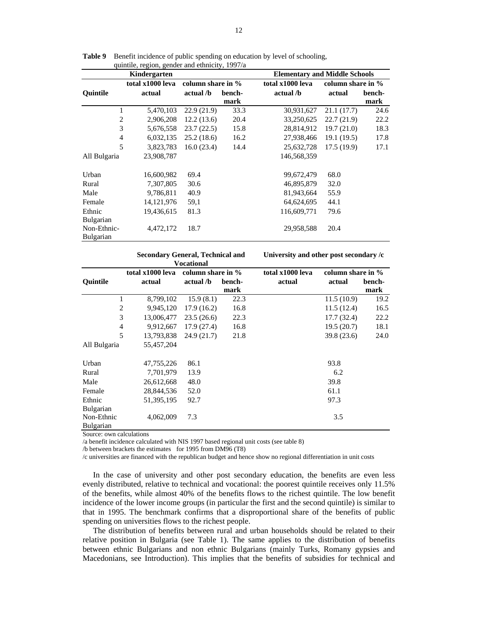|                  | $q$ unnne, region, genuer und einmen $y$ , 1997/a<br>Kindergarten |                   |        |                  | <b>Elementary and Middle Schools</b> |        |  |  |
|------------------|-------------------------------------------------------------------|-------------------|--------|------------------|--------------------------------------|--------|--|--|
|                  | total x1000 leva                                                  | column share in % |        | total x1000 leva | column share in %                    |        |  |  |
| <b>Quintile</b>  | actual                                                            | actual /b         | bench- | actual /b        | actual                               | bench- |  |  |
|                  |                                                                   |                   | mark   |                  |                                      | mark   |  |  |
| 1                | 5,470,103                                                         | 22.9(21.9)        | 33.3   | 30,931,627       | 21.1(17.7)                           | 24.6   |  |  |
| 2                | 2,906,208                                                         | 12.2(13.6)        | 20.4   | 33,250,625       | 22.7(21.9)                           | 22.2   |  |  |
| 3                | 5,676,558                                                         | 23.7(22.5)        | 15.8   | 28,814,912       | 19.7(21.0)                           | 18.3   |  |  |
| 4                | 6,032,135                                                         | 25.2(18.6)        | 16.2   | 27,938,466       | 19.1(19.5)                           | 17.8   |  |  |
| 5                | 3,823,783                                                         | 16.0(23.4)        | 14.4   | 25,632,728       | 17.5(19.9)                           | 17.1   |  |  |
| All Bulgaria     | 23,908,787                                                        |                   |        | 146,568,359      |                                      |        |  |  |
| Urban            | 16,600,982                                                        | 69.4              |        | 99,672,479       | 68.0                                 |        |  |  |
| Rural            | 7,307,805                                                         | 30.6              |        | 46,895,879       | 32.0                                 |        |  |  |
| Male             | 9,786,811                                                         | 40.9              |        | 81,943,664       | 55.9                                 |        |  |  |
| Female           | 14, 121, 976                                                      | 59,1              |        | 64,624,695       | 44.1                                 |        |  |  |
| Ethnic           | 19,436,615                                                        | 81.3              |        | 116,609,771      | 79.6                                 |        |  |  |
| Bulgarian        |                                                                   |                   |        |                  |                                      |        |  |  |
| Non-Ethnic-      | 4,472,172                                                         | 18.7              |        | 29,958,588       | 20.4                                 |        |  |  |
| <b>Bulgarian</b> |                                                                   |                   |        |                  |                                      |        |  |  |

Table 9 Benefit incidence of public spending on education by level of schooling, quintile, region, gender and ethnicity, 1997/a

|                  | <b>Secondary General, Technical and</b> |                   |        |                  | University and other post secondary /c |        |  |  |
|------------------|-----------------------------------------|-------------------|--------|------------------|----------------------------------------|--------|--|--|
|                  |                                         | Vocational        |        |                  |                                        |        |  |  |
|                  | total x1000 leva                        | column share in % |        | total x1000 leva | column share in %                      |        |  |  |
| <b>Ouintile</b>  | actual                                  | actual /b         | bench- | actual           | actual                                 | bench- |  |  |
|                  |                                         |                   | mark   |                  |                                        | mark   |  |  |
| 1                | 8,799,102                               | 15.9(8.1)         | 22.3   |                  | 11.5(10.9)                             | 19.2   |  |  |
| 2                | 9,945,120                               | 17.9(16.2)        | 16.8   |                  | 11.5(12.4)                             | 16.5   |  |  |
| 3                | 13,006,477                              | 23.5(26.6)        | 22.3   |                  | 17.7(32.4)                             | 22.2   |  |  |
| $\overline{4}$   | 9,912,667                               | 17.9(27.4)        | 16.8   |                  | 19.5(20.7)                             | 18.1   |  |  |
| 5                | 13,793,838                              | 24.9(21.7)        | 21.8   |                  | 39.8 (23.6)                            | 24.0   |  |  |
| All Bulgaria     | 55,457,204                              |                   |        |                  |                                        |        |  |  |
| Urban            | 47,755,226                              | 86.1              |        |                  | 93.8                                   |        |  |  |
| Rural            | 7,701,979                               | 13.9              |        |                  | 6.2                                    |        |  |  |
| Male             | 26,612,668                              | 48.0              |        |                  | 39.8                                   |        |  |  |
| Female           | 28,844,536                              | 52.0              |        |                  | 61.1                                   |        |  |  |
| Ethnic           | 51,395,195                              | 92.7              |        |                  | 97.3                                   |        |  |  |
| <b>Bulgarian</b> |                                         |                   |        |                  |                                        |        |  |  |
| Non-Ethnic       | 4,062,009                               | 7.3               |        |                  | 3.5                                    |        |  |  |
| <b>Bulgarian</b> |                                         |                   |        |                  |                                        |        |  |  |

Source: own calculations

/a benefit incidence calculated with NIS 1997 based regional unit costs (see table 8)

/b between brackets the estimates for 1995 from DM96 (T8)

/c universities are financed with the republican budget and hence show no regional differentiation in unit costs

In the case of university and other post secondary education, the benefits are even less evenly distributed, relative to technical and vocational: the poorest quintile receives only 11.5% of the benefits, while almost 40% of the benefits flows to the richest quintile. The low benefit incidence of the lower income groups (in particular the first and the second quintile) is similar to that in 1995. The benchmark confirms that a disproportional share of the benefits of public spending on universities flows to the richest people.

The distribution of benefits between rural and urban households should be related to their relative position in Bulgaria (see Table 1). The same applies to the distribution of benefits between ethnic Bulgarians and non ethnic Bulgarians (mainly Turks, Romany gypsies and Macedonians, see Introduction). This implies that the benefits of subsidies for technical and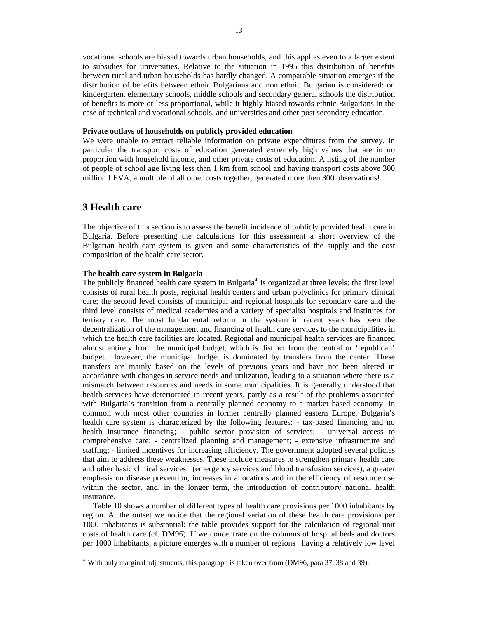vocational schools are biased towards urban households, and this applies even to a larger extent to subsidies for universities. Relative to the situation in 1995 this distribution of benefits between rural and urban households has hardly changed. A comparable situation emerges if the distribution of benefits between ethnic Bulgarians and non ethnic Bulgarian is considered: on kindergarten, elementary schools, middle schools and secondary general schools the distribution of benefits is more or less proportional, while it highly biased towards ethnic Bulgarians in the case of technical and vocational schools, and universities and other post secondary education.

#### **Private outlays of households on publicly provided education**

We were unable to extract reliable information on private expenditures from the survey. In particular the transport costs of education generated extremely high values that are in no proportion with household income, and other private costs of education. A listing of the number of people of school age living less than 1 km from school and having transport costs above 300 million LEVA, a multiple of all other costs together, generated more then 300 observations!

# **3 Health care**

 $\overline{a}$ 

The objective of this section is to assess the benefit incidence of publicly provided health care in Bulgaria. Before presenting the calculations for this assessment a short overview of the Bulgarian health care system is given and some characteristics of the supply and the cost composition of the health care sector.

### **The health care system in Bulgaria**

The publicly financed health care system in Bulgaria<sup>4</sup> is organized at three levels: the first level consists of rural health posts, regional health centers and urban polyclinics for primary clinical care; the second level consists of municipal and regional hospitals for secondary care and the third level consists of medical academies and a variety of specialist hospitals and institutes for tertiary care. The most fundamental reform in the system in recent years has been the decentralization of the management and financing of health care services to the municipalities in which the health care facilities are located. Regional and municipal health services are financed almost entirely from the municipal budget, which is distinct from the central or 'republican' budget. However, the municipal budget is dominated by transfers from the center. These transfers are mainly based on the levels of previous years and have not been altered in accordance with changes in service needs and utilization, leading to a situation where there is a mismatch between resources and needs in some municipalities. It is generally understood that health services have deteriorated in recent years, partly as a result of the problems associated with Bulgaria's transition from a centrally planned economy to a market based economy. In common with most other countries in former centrally planned eastern Europe, Bulgaria's health care system is characterized by the following features: - tax-based financing and no health insurance financing; - public sector provision of services; - universal access to comprehensive care; - centralized planning and management; - extensive infrastructure and staffing; - limited incentives for increasing efficiency. The government adopted several policies that aim to address these weaknesses. These include measures to strengthen primary health care and other basic clinical services (emergency services and blood transfusion services), a greater emphasis on disease prevention, increases in allocations and in the efficiency of resource use within the sector, and, in the longer term, the introduction of contributory national health insurance.

 Table 10 shows a number of different types of health care provisions per 1000 inhabitants by region. At the outset we notice that the regional variation of these health care provisions per 1000 inhabitants is substantial: the table provides support for the calculation of regional unit costs of health care (cf. DM96). If we concentrate on the columns of hospital beds and doctors per 1000 inhabitants, a picture emerges with a number of regions having a relatively low level

<sup>&</sup>lt;sup>4</sup> With only marginal adjustments, this paragraph is taken over from (DM96, para 37, 38 and 39).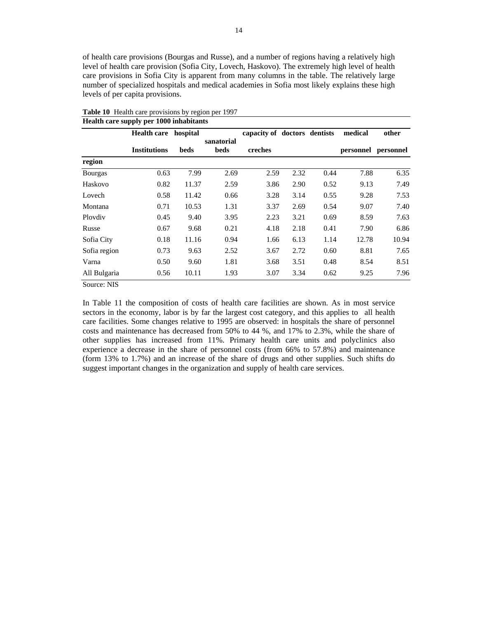of health care provisions (Bourgas and Russe), and a number of regions having a relatively high level of health care provision (Sofia City, Lovech, Haskovo). The extremely high level of health care provisions in Sofia City is apparent from many columns in the table. The relatively large number of specialized hospitals and medical academies in Sofia most likely explains these high levels of per capita provisions.

|                | <b>Health care</b>  | hospital |                    | capacity of doctors dentists |      |      | medical             | other |
|----------------|---------------------|----------|--------------------|------------------------------|------|------|---------------------|-------|
|                | <b>Institutions</b> | beds     | sanatorial<br>beds | creches                      |      |      | personnel personnel |       |
| region         |                     |          |                    |                              |      |      |                     |       |
| <b>Bourgas</b> | 0.63                | 7.99     | 2.69               | 2.59                         | 2.32 | 0.44 | 7.88                | 6.35  |
| Haskovo        | 0.82                | 11.37    | 2.59               | 3.86                         | 2.90 | 0.52 | 9.13                | 7.49  |
| Lovech         | 0.58                | 11.42    | 0.66               | 3.28                         | 3.14 | 0.55 | 9.28                | 7.53  |
| Montana        | 0.71                | 10.53    | 1.31               | 3.37                         | 2.69 | 0.54 | 9.07                | 7.40  |
| Ploydiy        | 0.45                | 9.40     | 3.95               | 2.23                         | 3.21 | 0.69 | 8.59                | 7.63  |
| Russe          | 0.67                | 9.68     | 0.21               | 4.18                         | 2.18 | 0.41 | 7.90                | 6.86  |
| Sofia City     | 0.18                | 11.16    | 0.94               | 1.66                         | 6.13 | 1.14 | 12.78               | 10.94 |
| Sofia region   | 0.73                | 9.63     | 2.52               | 3.67                         | 2.72 | 0.60 | 8.81                | 7.65  |
| Varna          | 0.50                | 9.60     | 1.81               | 3.68                         | 3.51 | 0.48 | 8.54                | 8.51  |
| All Bulgaria   | 0.56                | 10.11    | 1.93               | 3.07                         | 3.34 | 0.62 | 9.25                | 7.96  |

**Table 10** Health care provisions by region per 1997 **Health care supply per 1000 inhabitants** 

Source: NIS

In Table 11 the composition of costs of health care facilities are shown. As in most service sectors in the economy, labor is by far the largest cost category, and this applies to all health care facilities. Some changes relative to 1995 are observed: in hospitals the share of personnel costs and maintenance has decreased from 50% to 44 %, and 17% to 2.3%, while the share of other supplies has increased from 11%. Primary health care units and polyclinics also experience a decrease in the share of personnel costs (from 66% to 57.8%) and maintenance (form 13% to 1.7%) and an increase of the share of drugs and other supplies. Such shifts do suggest important changes in the organization and supply of health care services.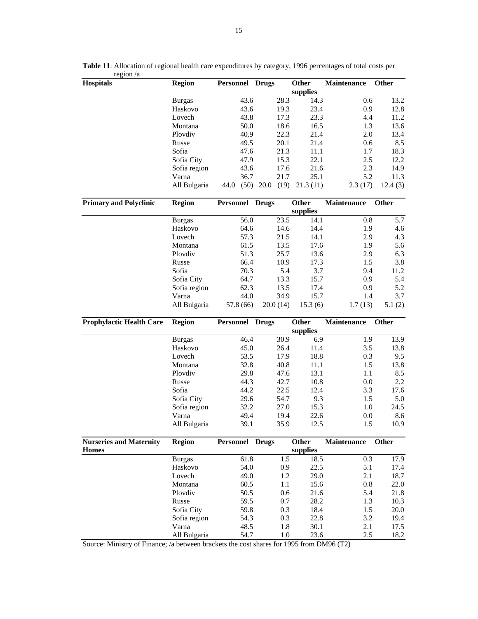| <b>Hospitals</b>                | <b>Region</b> | Personnel Drugs |              | Other    | Maintenance        | <b>Other</b> |
|---------------------------------|---------------|-----------------|--------------|----------|--------------------|--------------|
|                                 |               |                 |              | supplies |                    |              |
|                                 | <b>Burgas</b> | 43.6            | 28.3         | 14.3     | 0.6                | 13.2         |
|                                 | Haskovo       | 43.6            | 19.3         | 23.4     | 0.9                | 12.8         |
|                                 | Lovech        | 43.8            | 17.3         | 23.3     | 4.4                | 11.2         |
|                                 | Montana       | 50.0            | 18.6         | 16.5     | 1.3                | 13.6         |
|                                 | Plovdiv       | 40.9            | 22.3         | 21.4     | 2.0                | 13.4         |
|                                 | Russe         | 49.5            | 20.1         | 21.4     | 0.6                | 8.5          |
|                                 | Sofia         | 47.6            | 21.3         | 11.1     | 1.7                | 18.3         |
|                                 | Sofia City    | 47.9            | 15.3         | 22.1     | 2.5                | 12.2         |
|                                 | Sofia region  | 43.6            | 17.6         | 21.6     | 2.3                | 14.9         |
|                                 | Varna         | 36.7            | 21.7         | 25.1     | 5.2                | 11.3         |
|                                 | All Bulgaria  | (50)<br>44.0    | 20.0<br>(19) | 21.3(11) | 2.3(17)            | 12.4(3)      |
| <b>Primary and Polyclinic</b>   | <b>Region</b> | Personnel Drugs |              | Other    | <b>Maintenance</b> | Other        |
|                                 |               |                 |              | supplies |                    |              |
|                                 | <b>Burgas</b> | 56.0            | 23.5         | 14.1     | 0.8                | 5.7          |
|                                 | Haskovo       | 64.6            | 14.6         | 14.4     | 1.9                | 4.6          |
|                                 | Lovech        | 57.3            | 21.5         | 14.1     | 2.9                | 4.3          |
|                                 | Montana       | 61.5            | 13.5         | 17.6     | 1.9                | 5.6          |
|                                 | Plovdiv       | 51.3            | 25.7         | 13.6     | 2.9                | 6.3          |
|                                 | Russe         | 66.4            | 10.9         | 17.3     | 1.5                | 3.8          |
|                                 | Sofia         | 70.3            | 5.4          | 3.7      | 9.4                | 11.2         |
|                                 | Sofia City    | 64.7            | 13.3         | 15.7     | 0.9                | 5.4          |
|                                 | Sofia region  | 62.3            | 13.5         | 17.4     | 0.9                | 5.2          |
|                                 | Varna         | 44.0            | 34.9         | 15.7     | 1.4                | 3.7          |
|                                 | All Bulgaria  | 57.8 (66)       | 20.0(14)     | 15.3(6)  | 1.7(13)            | 5.1(2)       |
| <b>Prophylactic Health Care</b> | <b>Region</b> | Personnel Drugs |              | Other    | <b>Maintenance</b> | Other        |
|                                 |               |                 |              | supplies |                    |              |
|                                 | <b>Burgas</b> | 46.4            | 30.9         | 6.9      | 1.9                | 13.9         |
|                                 | Haskovo       | 45.0            | 26.4         | 11.4     | 3.5                | 13.8         |
|                                 | Lovech        | 53.5            | 17.9         | 18.8     | 0.3                | 9.5          |
|                                 | Montana       | 32.8            | 40.8         | 11.1     | 1.5                | 13.8         |
|                                 | Plovdiv       | 29.8            | 47.6         | 13.1     | 1.1                | 8.5          |
|                                 | Russe         | 44.3            | 42.7         | 10.8     | 0.0                | 2.2          |
|                                 | Sofia         | 44.2            | 22.5         | 12.4     | 3.3                | 17.6         |
|                                 | Sofia City    | 29.6            | 54.7         | 9.3      | 1.5                | 5.0          |
|                                 | Sofia region  | 32.2            | 27.0         | 15.3     | 1.0                | 24.5         |
|                                 | Varna         | 49.4            | 19.4         | 22.6     | 0.0                | 8.6          |
|                                 | All Bulgaria  | 39.1            | 35.9         | 12.5     | 1.5                | 10.9         |
| <b>Nurseries and Maternity</b>  | <b>Region</b> | Personnel Drugs |              | Other    | Maintenance        | Other        |
| <b>Homes</b>                    |               |                 |              | supplies |                    |              |
|                                 | <b>Burgas</b> | 61.8            | 1.5          | 18.5     | 0.3                | 17.9         |
|                                 | Haskovo       | 54.0            | 0.9          | 22.5     | 5.1                | 17.4         |
|                                 | Lovech        | 49.0            | 1.2          | 29.0     | 2.1                | 18.7         |
|                                 | Montana       | 60.5            | 1.1          | 15.6     | 0.8                | 22.0         |
|                                 | Plovdiv       | 50.5            | 0.6          | 21.6     | 5.4                | 21.8         |
|                                 | Russe         | 59.5            | 0.7          | 28.2     | 1.3                | 10.3         |
|                                 | Sofia City    | 59.8            | 0.3          | 18.4     | 1.5                | 20.0         |
|                                 | Sofia region  | 54.3            | 0.3          | 22.8     | 3.2                | 19.4         |
|                                 | Varna         | 48.5            | 1.8          | 30.1     | 2.1                | 17.5         |
|                                 | All Bulgaria  | 54.7            | 1.0          | 23.6     | 2.5                | 18.2         |
|                                 |               |                 |              |          |                    |              |

**Table 11**: Allocation of regional health care expenditures by category, 1996 percentages of total costs per region /a

Source: Ministry of Finance; /a between brackets the cost shares for 1995 from DM96 (T2)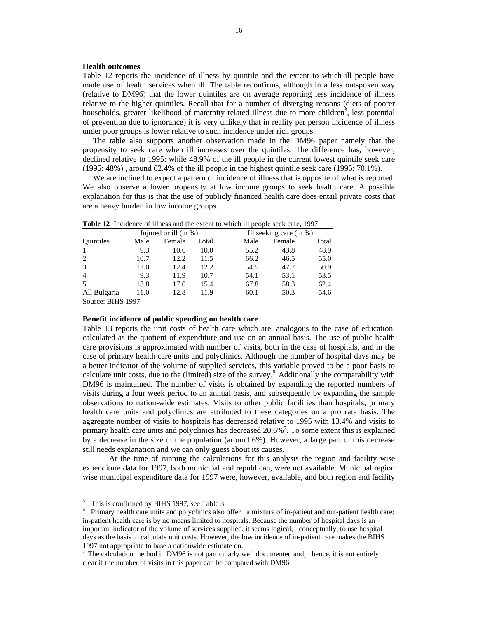#### **Health outcomes**

Table 12 reports the incidence of illness by quintile and the extent to which ill people have made use of health services when ill. The table reconfirms, although in a less outspoken way (relative to DM96) that the lower quintiles are on average reporting less incidence of illness relative to the higher quintiles. Recall that for a number of diverging reasons (diets of poorer households, greater likelihood of maternity related illness due to more children<sup>5</sup>, less potential of prevention due to ignorance) it is very unlikely that in reality per person incidence of illness under poor groups is lower relative to such incidence under rich groups.

The table also supports another observation made in the DM96 paper namely that the propensity to seek care when ill increases over the quintiles. The difference has, however, declined relative to 1995: while 48.9% of the ill people in the current lowest quintile seek care (1995: 48%) , around 62.4% of the ill people in the highest quintile seek care (1995: 70.1%).

We are inclined to expect a pattern of incidence of illness that is opposite of what is reported. We also observe a lower propensity at low income groups to seek health care. A possible explanation for this is that the use of publicly financed health care does entail private costs that are a heavy burden in low income groups.

|                      |      | Injured or ill $(in %)$ |       |      | Ill seeking care (in %) |       |  |  |
|----------------------|------|-------------------------|-------|------|-------------------------|-------|--|--|
| <b>Ouintiles</b>     | Male | Female                  | Total | Male | Female                  | Total |  |  |
|                      | 9.3  | 10.6                    | 10.0  | 55.2 | 43.8                    | 48.9  |  |  |
|                      | 10.7 | 12.2                    | 11.5  | 66.2 | 46.5                    | 55.0  |  |  |
| 3                    | 12.0 | 12.4                    | 12.2  | 54.5 | 47.7                    | 50.9  |  |  |
| 4                    | 9.3  | 11.9                    | 10.7  | 54.1 | 53.1                    | 53.5  |  |  |
|                      | 13.8 | 17.0                    | 15.4  | 67.8 | 58.3                    | 62.4  |  |  |
| All Bulgaria         | 11.0 | 12.8                    | 11.9  | 60.1 | 50.3                    | 54.6  |  |  |
| TITIA 1007<br>$\sim$ |      |                         |       |      |                         |       |  |  |

**Table 12** Incidence of illness and the extent to which ill people seek care, 1997

Source: BIHS 1997

### **Benefit incidence of public spending on health care**

Table 13 reports the unit costs of health care which are, analogous to the case of education, calculated as the quotient of expenditure and use on an annual basis. The use of public health care provisions is approximated with number of visits, both in the case of hospitals, and in the case of primary health care units and polyclinics. Although the number of hospital days may be a better indicator of the volume of supplied services, this variable proved to be a poor basis to calculate unit costs, due to the (limited) size of the survey.<sup>6</sup> Additionally the comparability with DM96 is maintained. The number of visits is obtained by expanding the reported numbers of visits during a four week period to an annual basis, and subsequently by expanding the sample observations to nation-wide estimates. Visits to other public facilities than hospitals, primary health care units and polyclinics are attributed to these categories on a pro rata basis. The aggregate number of visits to hospitals has decreased relative to 1995 with 13.4% and visits to primary health care units and polyclinics has decreased 20.6%<sup>7</sup>. To some extent this is explained by a decrease in the size of the population (around 6%). However, a large part of this decrease still needs explanation and we can only guess about its causes.

 At the time of running the calculations for this analysis the region and facility wise expenditure data for 1997, both municipal and republican, were not available. Municipal region wise municipal expenditure data for 1997 were, however, available, and both region and facility

 5 This is confirmed by BIHS 1997, see Table 3

<sup>&</sup>lt;sup>6</sup> Primary health care units and polyclinics also offer a mixture of in-patient and out-patient health care: in-patient health care is by no means limited to hospitals. Because the number of hospital days is an important indicator of the volume of services supplied, it seems logical, conceptually, to use hospital days as the basis to calculate unit costs. However, the low incidence of in-patient care makes the BIHS 1997 not appropriate to base a nationwide estimate on.

 $<sup>7</sup>$  The calculation method in DM96 is not particularly well documented and, hence, it is not entirely</sup> clear if the number of visits in this paper can be compared with DM96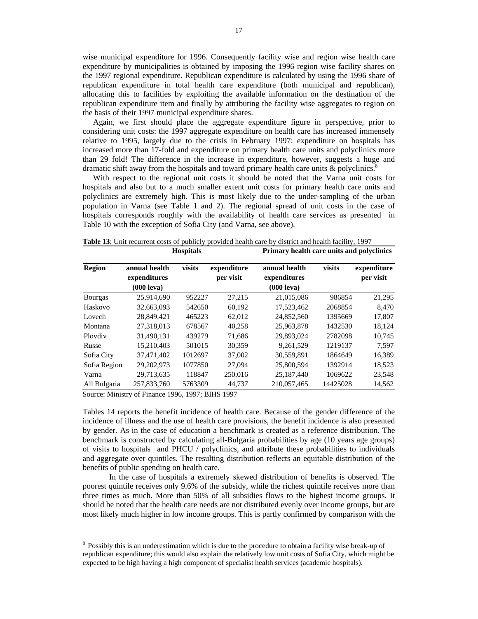wise municipal expenditure for 1996. Consequently facility wise and region wise health care expenditure by municipalities is obtained by imposing the 1996 region wise facility shares on the 1997 regional expenditure. Republican expenditure is calculated by using the 1996 share of republican expenditure in total health care expenditure (both municipal and republican), allocating this to facilities by exploiting the available information on the destination of the republican expenditure item and finally by attributing the facility wise aggregates to region on the basis of their 1997 municipal expenditure shares.

Again, we first should place the aggregate expenditure figure in perspective, prior to considering unit costs: the 1997 aggregate expenditure on health care has increased immensely relative to 1995, largely due to the crisis in February 1997: expenditure on hospitals has increased more than 17-fold and expenditure on primary health care units and polyclinics more than 29 fold! The difference in the increase in expenditure, however, suggests a huge and dramatic shift away from the hospitals and toward primary health care units  $\&$  polyclinics.<sup>8</sup>

With respect to the regional unit costs it should be noted that the Varna unit costs for hospitals and also but to a much smaller extent unit costs for primary health care units and polyclinics are extremely high. This is most likely due to the under-sampling of the urban population in Varna (see Table 1 and 2). The regional spread of unit costs in the case of hospitals corresponds roughly with the availability of health care services as presented in Table 10 with the exception of Sofia City (and Varna, see above).

|                | <b>Hospitals</b>                                      |         |                          | Primary health care units and polyclinics             |          |                          |  |
|----------------|-------------------------------------------------------|---------|--------------------------|-------------------------------------------------------|----------|--------------------------|--|
| <b>Region</b>  | annual health<br>expenditures<br>$(000 \text{ leva})$ | visits  | expenditure<br>per visit | annual health<br>expenditures<br>$(000 \text{ leva})$ | visits   | expenditure<br>per visit |  |
| <b>Bourgas</b> | 25,914,690                                            | 952227  | 27.215                   | 21,015,086                                            | 986854   | 21,295                   |  |
| Haskovo        | 32,663,093                                            | 542650  | 60,192                   | 17,523,462                                            | 2068854  | 8,470                    |  |
| Lovech         | 28,849,421                                            | 465223  | 62,012                   | 24,852,560                                            | 1395669  | 17,807                   |  |
| Montana        | 27,318,013                                            | 678567  | 40,258                   | 25,963,878                                            | 1432530  | 18,124                   |  |
| Ploydiy        | 31,490,131                                            | 439279  | 71,686                   | 29,893,024                                            | 2782098  | 10,745                   |  |
| Russe          | 15,210,403                                            | 501015  | 30,359                   | 9,261,529                                             | 1219137  | 7,597                    |  |
| Sofia City     | 37,471,402                                            | 1012697 | 37,002                   | 30,559,891                                            | 1864649  | 16,389                   |  |
| Sofia Region   | 29,202,973                                            | 1077850 | 27,094                   | 25,800,594                                            | 1392914  | 18,523                   |  |
| Varna          | 29,713,635                                            | 118847  | 250,016                  | 25,187,440                                            | 1069622  | 23,548                   |  |
| All Bulgaria   | 257,833,760                                           | 5763309 | 44,737                   | 210,057,465                                           | 14425028 | 14,562                   |  |

**Table 13**: Unit recurrent costs of publicly provided health care by district and health facility, 1997

Source: Ministry of Finance 1996, 1997; BIHS 1997

l

Tables 14 reports the benefit incidence of health care. Because of the gender difference of the incidence of illness and the use of health care provisions, the benefit incidence is also presented by gender. As in the case of education a benchmark is created as a reference distribution. The benchmark is constructed by calculating all-Bulgaria probabilities by age (10 years age groups) of visits to hospitals and PHCU / polyclinics, and attribute these probabilities to individuals and aggregate over quintiles. The resulting distribution reflects an equitable distribution of the benefits of public spending on health care.

In the case of hospitals a extremely skewed distribution of benefits is observed. The poorest quintile receives only 9.6% of the subsidy, while the richest quintile receives more than three times as much. More than 50% of all subsidies flows to the highest income groups. It should be noted that the health care needs are not distributed evenly over income groups, but are most likely much higher in low income groups. This is partly confirmed by comparison with the

<sup>&</sup>lt;sup>8</sup> Possibly this is an underestimation which is due to the procedure to obtain a facility wise break-up of republican expenditure; this would also explain the relatively low unit costs of Sofia City, which might be expected to be high having a high component of specialist health services (academic hospitals).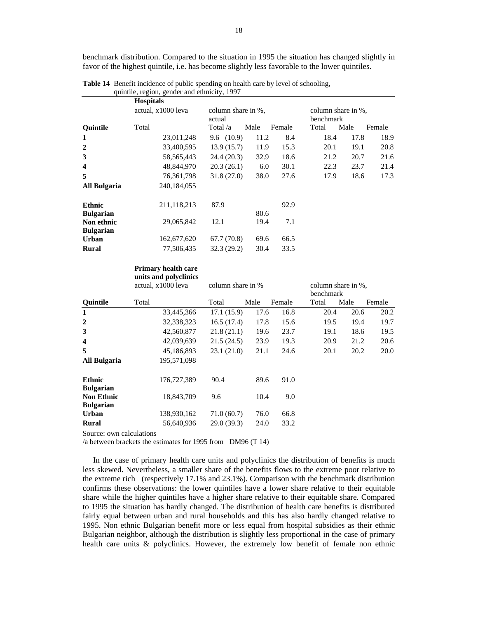benchmark distribution. Compared to the situation in 1995 the situation has changed slightly in favor of the highest quintile, i.e. has become slightly less favorable to the lower quintiles.

|                  | $5000, 1000, 1000, 1000, 1000, 1000, 1000, 1000, 1000, 1000, 1000, 1000, 1000, 1000, 1000, 1000, 1000, 1000, 1000, 1000, 1000, 1000, 1000, 1000, 1000, 1000, 1000, 1000, 1000, 1000, 1000, 1000, 1000, 1000, 1000, 1000, 1000$<br><b>Hospitals</b> |            |                    |        |       |                                        |        |  |
|------------------|----------------------------------------------------------------------------------------------------------------------------------------------------------------------------------------------------------------------------------------------------|------------|--------------------|--------|-------|----------------------------------------|--------|--|
|                  | actual, x1000 leva                                                                                                                                                                                                                                 | actual     | column share in %, |        |       | column share in %.<br><b>benchmark</b> |        |  |
| <b>Ouintile</b>  | Total                                                                                                                                                                                                                                              | Total /a   | Male               | Female | Total | Male                                   | Female |  |
| 1                | 23,011,248                                                                                                                                                                                                                                         | 9.6(10.9)  | 11.2               | 8.4    | 18.4  | 17.8                                   | 18.9   |  |
| $\mathbf{2}$     | 33,400,595                                                                                                                                                                                                                                         | 13.9(15.7) | 11.9               | 15.3   | 20.1  | 19.1                                   | 20.8   |  |
| 3                | 58, 565, 443                                                                                                                                                                                                                                       | 24.4(20.3) | 32.9               | 18.6   | 21.2  | 20.7                                   | 21.6   |  |
| 4                | 48,844,970                                                                                                                                                                                                                                         | 20.3(26.1) | 6.0                | 30.1   | 22.3  | 23.7                                   | 21.4   |  |
| 5                | 76, 361, 798                                                                                                                                                                                                                                       | 31.8(27.0) | 38.0               | 27.6   | 17.9  | 18.6                                   | 17.3   |  |
| All Bulgaria     | 240, 184, 055                                                                                                                                                                                                                                      |            |                    |        |       |                                        |        |  |
| <b>Ethnic</b>    | 211,118,213                                                                                                                                                                                                                                        | 87.9       |                    | 92.9   |       |                                        |        |  |
| <b>Bulgarian</b> |                                                                                                                                                                                                                                                    |            | 80.6               |        |       |                                        |        |  |
| Non ethnic       | 29,065,842                                                                                                                                                                                                                                         | 12.1       | 19.4               | 7.1    |       |                                        |        |  |
| <b>Bulgarian</b> |                                                                                                                                                                                                                                                    |            |                    |        |       |                                        |        |  |
| <b>Urban</b>     | 162,677,620                                                                                                                                                                                                                                        | 67.7(70.8) | 69.6               | 66.5   |       |                                        |        |  |
| Rural            | 77.506.435                                                                                                                                                                                                                                         | 32.3(29.2) | 30.4               | 33.5   |       |                                        |        |  |

**Table 14** Benefit incidence of public spending on health care by level of schooling, quintile, region, gender and ethnicity, 1997

#### **Primary health care units and polyclinics**

|                                       | actual, x1000 leva | column share in % |      |        | column share in %.<br>benchmark |      |        |
|---------------------------------------|--------------------|-------------------|------|--------|---------------------------------|------|--------|
| <b>Ouintile</b>                       | Total              | Total             | Male | Female | Total                           | Male | Female |
| $\mathbf{1}$                          | 33,445,366         | 17.1 (15.9)       | 17.6 | 16.8   | 20.4                            | 20.6 | 20.2   |
| $\overline{2}$                        | 32,338,323         | 16.5(17.4)        | 17.8 | 15.6   | 19.5                            | 19.4 | 19.7   |
| 3                                     | 42,560,877         | 21.8(21.1)        | 19.6 | 23.7   | 19.1                            | 18.6 | 19.5   |
| 4                                     | 42,039,639         | 21.5(24.5)        | 23.9 | 19.3   | 20.9                            | 21.2 | 20.6   |
| 5                                     | 45,186,893         | 23.1(21.0)        | 21.1 | 24.6   | 20.1                            | 20.2 | 20.0   |
| All Bulgaria                          | 195,571,098        |                   |      |        |                                 |      |        |
| <b>Ethnic</b>                         | 176,727,389        | 90.4              | 89.6 | 91.0   |                                 |      |        |
| <b>Bulgarian</b>                      |                    |                   |      |        |                                 |      |        |
| <b>Non Ethnic</b><br><b>Bulgarian</b> | 18,843,709         | 9.6               | 10.4 | 9.0    |                                 |      |        |
| Urban                                 | 138,930,162        | 71.0(60.7)        | 76.0 | 66.8   |                                 |      |        |
| Rural                                 | 56,640,936         | 29.0(39.3)        | 24.0 | 33.2   |                                 |      |        |

Source: own calculations

/a between brackets the estimates for 1995 from DM96 (T 14)

 In the case of primary health care units and polyclinics the distribution of benefits is much less skewed. Nevertheless, a smaller share of the benefits flows to the extreme poor relative to the extreme rich (respectively 17.1% and 23.1%). Comparison with the benchmark distribution confirms these observations: the lower quintiles have a lower share relative to their equitable share while the higher quintiles have a higher share relative to their equitable share. Compared to 1995 the situation has hardly changed. The distribution of health care benefits is distributed fairly equal between urban and rural households and this has also hardly changed relative to 1995. Non ethnic Bulgarian benefit more or less equal from hospital subsidies as their ethnic Bulgarian neighbor, although the distribution is slightly less proportional in the case of primary health care units & polyclinics. However, the extremely low benefit of female non ethnic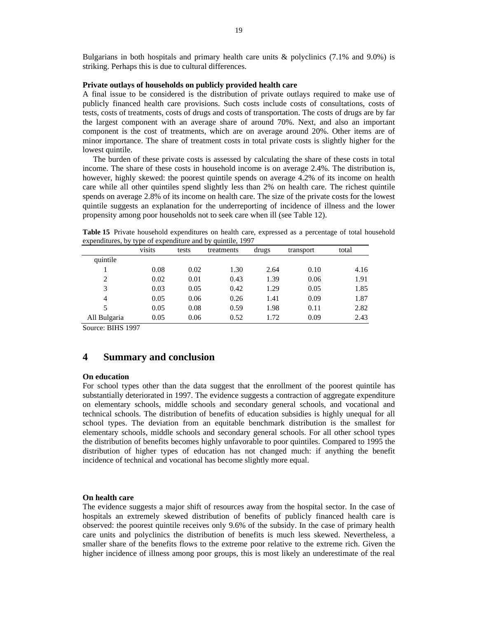Bulgarians in both hospitals and primary health care units & polyclinics (7.1% and 9.0%) is striking. Perhaps this is due to cultural differences.

### **Private outlays of households on publicly provided health care**

A final issue to be considered is the distribution of private outlays required to make use of publicly financed health care provisions. Such costs include costs of consultations, costs of tests, costs of treatments, costs of drugs and costs of transportation. The costs of drugs are by far the largest component with an average share of around 70%. Next, and also an important component is the cost of treatments, which are on average around 20%. Other items are of minor importance. The share of treatment costs in total private costs is slightly higher for the lowest quintile.

 The burden of these private costs is assessed by calculating the share of these costs in total income. The share of these costs in household income is on average 2.4%. The distribution is, however, highly skewed: the poorest quintile spends on average 4.2% of its income on health care while all other quintiles spend slightly less than 2% on health care. The richest quintile spends on average 2.8% of its income on health care. The size of the private costs for the lowest quintile suggests an explanation for the underreporting of incidence of illness and the lower propensity among poor households not to seek care when ill (see Table 12).

**Table 15** Private household expenditures on health care, expressed as a percentage of total household expenditures, by type of expenditure and by quintile, 1997

|              | visits | tests | treatments | drugs | transport | total |
|--------------|--------|-------|------------|-------|-----------|-------|
| quintile     |        |       |            |       |           |       |
|              | 0.08   | 0.02  | 1.30       | 2.64  | 0.10      | 4.16  |
| 2            | 0.02   | 0.01  | 0.43       | 1.39  | 0.06      | 1.91  |
| 3            | 0.03   | 0.05  | 0.42       | 1.29  | 0.05      | 1.85  |
| 4            | 0.05   | 0.06  | 0.26       | 1.41  | 0.09      | 1.87  |
| 5            | 0.05   | 0.08  | 0.59       | 1.98  | 0.11      | 2.82  |
| All Bulgaria | 0.05   | 0.06  | 0.52       | 1.72  | 0.09      | 2.43  |

Source: BIHS 1997

# **4 Summary and conclusion**

### **On education**

For school types other than the data suggest that the enrollment of the poorest quintile has substantially deteriorated in 1997. The evidence suggests a contraction of aggregate expenditure on elementary schools, middle schools and secondary general schools, and vocational and technical schools. The distribution of benefits of education subsidies is highly unequal for all school types. The deviation from an equitable benchmark distribution is the smallest for elementary schools, middle schools and secondary general schools. For all other school types the distribution of benefits becomes highly unfavorable to poor quintiles. Compared to 1995 the distribution of higher types of education has not changed much: if anything the benefit incidence of technical and vocational has become slightly more equal.

### **On health care**

The evidence suggests a major shift of resources away from the hospital sector. In the case of hospitals an extremely skewed distribution of benefits of publicly financed health care is observed: the poorest quintile receives only 9.6% of the subsidy. In the case of primary health care units and polyclinics the distribution of benefits is much less skewed. Nevertheless, a smaller share of the benefits flows to the extreme poor relative to the extreme rich. Given the higher incidence of illness among poor groups, this is most likely an underestimate of the real